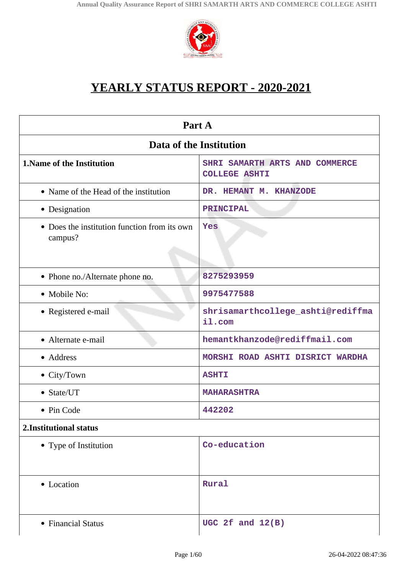

# **YEARLY STATUS REPORT - 2020-2021**

| Part A                                                  |                                                        |  |
|---------------------------------------------------------|--------------------------------------------------------|--|
| Data of the Institution                                 |                                                        |  |
| <b>1. Name of the Institution</b>                       | SHRI SAMARTH ARTS AND COMMERCE<br><b>COLLEGE ASHTI</b> |  |
| • Name of the Head of the institution                   | DR. HEMANT M. KHANZODE                                 |  |
| • Designation                                           | PRINCIPAL                                              |  |
| • Does the institution function from its own<br>campus? | Yes                                                    |  |
| • Phone no./Alternate phone no.                         | 8275293959                                             |  |
| • Mobile No:                                            | 9975477588                                             |  |
| • Registered e-mail                                     | shrisamarthcollege_ashti@rediffma<br>il.com            |  |
| • Alternate e-mail                                      | hemantkhanzode@rediffmail.com                          |  |
| • Address                                               | MORSHI ROAD ASHTI DISRICT WARDHA                       |  |
| • City/Town                                             | <b>ASHTI</b>                                           |  |
| • State/UT                                              | <b>MAHARASHTRA</b>                                     |  |
| • Pin Code                                              | 442202                                                 |  |
| 2. Institutional status                                 |                                                        |  |
| • Type of Institution                                   | Co-education                                           |  |
| • Location                                              | Rural                                                  |  |
| • Financial Status                                      | UGC 2 $f$ and $12(B)$                                  |  |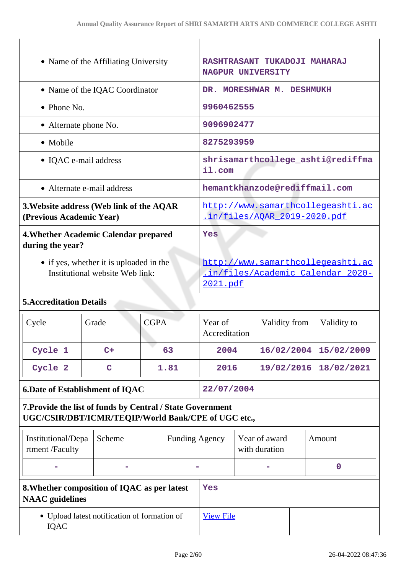| • Name of the Affiliating University                                                                              |                                        |                                                                                    | RASHTRASANT TUKADOJI MAHARAJ<br>NAGPUR UNIVERSITY |                          |                                |               |  |             |
|-------------------------------------------------------------------------------------------------------------------|----------------------------------------|------------------------------------------------------------------------------------|---------------------------------------------------|--------------------------|--------------------------------|---------------|--|-------------|
| • Name of the IQAC Coordinator                                                                                    |                                        |                                                                                    | DR. MORESHWAR M. DESHMUKH                         |                          |                                |               |  |             |
| • Phone No.                                                                                                       |                                        |                                                                                    | 9960462555                                        |                          |                                |               |  |             |
| • Alternate phone No.                                                                                             |                                        |                                                                                    |                                                   | 9096902477               |                                |               |  |             |
| • Mobile                                                                                                          |                                        |                                                                                    | 8275293959                                        |                          |                                |               |  |             |
| • IQAC e-mail address                                                                                             |                                        | shrisamarthcollege_ashti@rediffma<br>il.com                                        |                                                   |                          |                                |               |  |             |
| • Alternate e-mail address                                                                                        |                                        | hemantkhanzode@rediffmail.com                                                      |                                                   |                          |                                |               |  |             |
| 3. Website address (Web link of the AQAR<br>(Previous Academic Year)                                              |                                        | http://www.samarthcollegeashti.ac<br>in/files/AOAR 2019-2020.pdf                   |                                                   |                          |                                |               |  |             |
| 4. Whether Academic Calendar prepared<br>during the year?                                                         |                                        | Yes                                                                                |                                                   |                          |                                |               |  |             |
| • if yes, whether it is uploaded in the<br>Institutional website Web link:                                        |                                        | http://www.samarthcollegeashti.ac<br>.in/files/Academic_Calendar_2020-<br>2021.pdf |                                                   |                          |                                |               |  |             |
| <b>5. Accreditation Details</b>                                                                                   |                                        |                                                                                    |                                                   |                          |                                |               |  |             |
| Cycle                                                                                                             | Grade                                  | <b>CGPA</b>                                                                        |                                                   | Year of<br>Accreditation |                                | Validity from |  | Validity to |
| Cycle 1                                                                                                           | $C+$                                   |                                                                                    | 63                                                | 2004                     |                                | 16/02/2004    |  | 15/02/2009  |
| Cycle 2                                                                                                           | $\mathbf C$                            |                                                                                    | 1.81                                              | 2016                     |                                | 19/02/2016    |  | 18/02/2021  |
|                                                                                                                   | <b>6.Date of Establishment of IQAC</b> |                                                                                    | 22/07/2004                                        |                          |                                |               |  |             |
| 7. Provide the list of funds by Central / State Government<br>UGC/CSIR/DBT/ICMR/TEQIP/World Bank/CPE of UGC etc., |                                        |                                                                                    |                                                   |                          |                                |               |  |             |
| Institutional/Depa<br>rtment /Faculty                                                                             | Scheme                                 | <b>Funding Agency</b>                                                              |                                                   |                          | Year of award<br>with duration |               |  | Amount      |
|                                                                                                                   |                                        |                                                                                    |                                                   |                          | $\mathbf 0$                    |               |  |             |
| 8. Whether composition of IQAC as per latest<br><b>NAAC</b> guidelines                                            |                                        |                                                                                    | Yes                                               |                          |                                |               |  |             |
| • Upload latest notification of formation of<br><b>IQAC</b>                                                       |                                        |                                                                                    | <b>View File</b>                                  |                          |                                |               |  |             |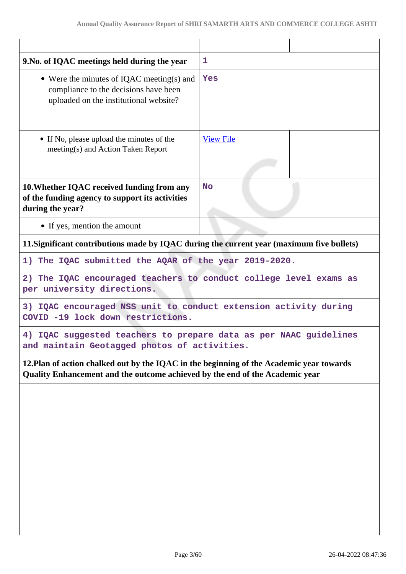| 1                                                                                                                                                                        |  |  |
|--------------------------------------------------------------------------------------------------------------------------------------------------------------------------|--|--|
| Yes                                                                                                                                                                      |  |  |
| <b>View File</b>                                                                                                                                                         |  |  |
| <b>No</b>                                                                                                                                                                |  |  |
|                                                                                                                                                                          |  |  |
| 11. Significant contributions made by IQAC during the current year (maximum five bullets)                                                                                |  |  |
| 1) The IQAC submitted the AQAR of the year 2019-2020.                                                                                                                    |  |  |
| 2) The IQAC encouraged teachers to conduct college level exams as<br>per university directions.                                                                          |  |  |
| 3) IQAC encouraged NSS unit to conduct extension activity during<br>COVID -19 lock down restrictions.                                                                    |  |  |
| 4) IQAC suggested teachers to prepare data as per NAAC guidelines<br>and maintain Geotagged photos of activities.                                                        |  |  |
| 12. Plan of action chalked out by the IQAC in the beginning of the Academic year towards<br>Quality Enhancement and the outcome achieved by the end of the Academic year |  |  |
|                                                                                                                                                                          |  |  |
|                                                                                                                                                                          |  |  |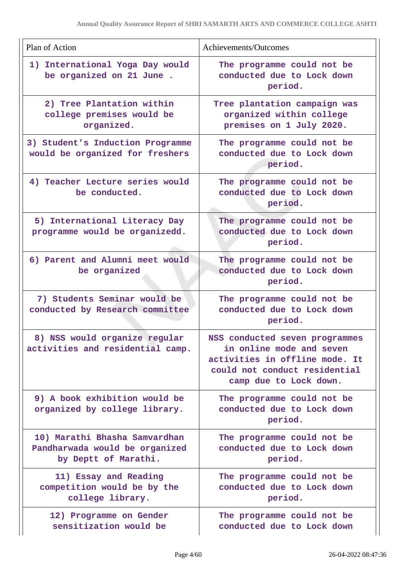| Plan of Action                                                                          | Achievements/Outcomes                                                                                                                                   |
|-----------------------------------------------------------------------------------------|---------------------------------------------------------------------------------------------------------------------------------------------------------|
| 1) International Yoga Day would<br>be organized on 21 June.                             | The programme could not be<br>conducted due to Lock down<br>period.                                                                                     |
| 2) Tree Plantation within<br>college premises would be<br>organized.                    | Tree plantation campaign was<br>organized within college<br>premises on 1 July 2020.                                                                    |
| 3) Student's Induction Programme<br>would be organized for freshers                     | The programme could not be<br>conducted due to Lock down<br>period.                                                                                     |
| 4) Teacher Lecture series would<br>be conducted.                                        | The programme could not be<br>conducted due to Lock down<br>period.                                                                                     |
| 5) International Literacy Day<br>programme would be organizedd.                         | The programme could not be<br>conducted due to Lock down<br>period.                                                                                     |
| 6) Parent and Alumni meet would<br>be organized                                         | The programme could not be<br>conducted due to Lock down<br>period.                                                                                     |
| 7) Students Seminar would be<br>conducted by Research committee                         | The programme could not be<br>conducted due to Lock down<br>period.                                                                                     |
| 8) NSS would organize regular<br>activities and residential camp.                       | NSS conducted seven programmes<br>in online mode and seven<br>activities in offline mode. It<br>could not conduct residential<br>camp due to Lock down. |
| 9) A book exhibition would be<br>organized by college library.                          | The programme could not be<br>conducted due to Lock down<br>period.                                                                                     |
| 10) Marathi Bhasha Samvardhan<br>Pandharwada would be organized<br>by Deptt of Marathi. | The programme could not be<br>conducted due to Lock down<br>period.                                                                                     |
| 11) Essay and Reading<br>competition would be by the<br>college library.                | The programme could not be<br>conducted due to Lock down<br>period.                                                                                     |
| 12) Programme on Gender<br>sensitization would be                                       | The programme could not be<br>conducted due to Lock down                                                                                                |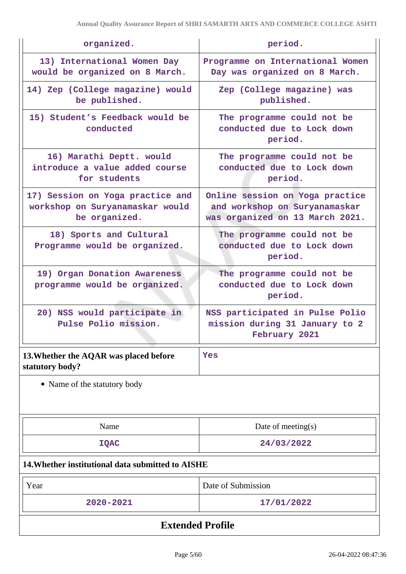| organized.                                                                           | period.                                                                                             |  |  |
|--------------------------------------------------------------------------------------|-----------------------------------------------------------------------------------------------------|--|--|
| 13) International Women Day<br>would be organized on 8 March.                        | Programme on International Women<br>Day was organized on 8 March.                                   |  |  |
| 14) Zep (College magazine) would<br>be published.                                    | Zep (College magazine) was<br>published.                                                            |  |  |
| 15) Student's Feedback would be<br>conducted                                         | The programme could not be<br>conducted due to Lock down<br>period.                                 |  |  |
| 16) Marathi Deptt. would<br>introduce a value added course<br>for students           | The programme could not be<br>conducted due to Lock down<br>period.                                 |  |  |
| 17) Session on Yoga practice and<br>workshop on Suryanamaskar would<br>be organized. | Online session on Yoga practice<br>and workshop on Suryanamaskar<br>was organized on 13 March 2021. |  |  |
| 18) Sports and Cultural<br>Programme would be organized.                             | The programme could not be<br>conducted due to Lock down<br>period.                                 |  |  |
| 19) Organ Donation Awareness<br>programme would be organized.                        | The programme could not be<br>conducted due to Lock down<br>period.                                 |  |  |
| 20) NSS would participate in<br>Pulse Polio mission.                                 | NSS participated in Pulse Polio<br>mission during 31 January to 2<br>February 2021                  |  |  |
| 13. Whether the AQAR was placed before<br>statutory body?                            | Yes                                                                                                 |  |  |
| • Name of the statutory body                                                         |                                                                                                     |  |  |
| Name                                                                                 | Date of meeting $(s)$                                                                               |  |  |
| <b>IQAC</b>                                                                          | 24/03/2022                                                                                          |  |  |
| 14. Whether institutional data submitted to AISHE                                    |                                                                                                     |  |  |
| Year                                                                                 | Date of Submission                                                                                  |  |  |
| 2020-2021                                                                            | 17/01/2022                                                                                          |  |  |
| <b>Extended Profile</b>                                                              |                                                                                                     |  |  |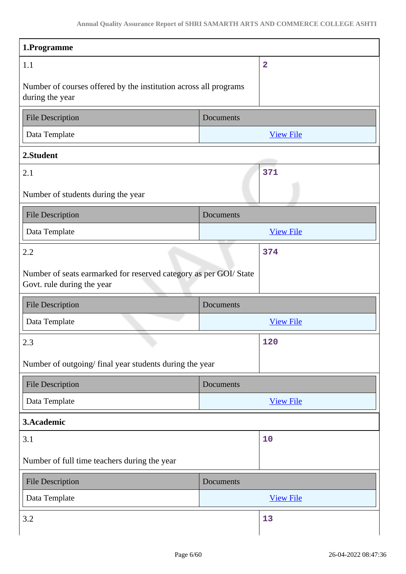| 1.Programme                                                                                     |                  |
|-------------------------------------------------------------------------------------------------|------------------|
| 1.1                                                                                             | $\overline{2}$   |
| Number of courses offered by the institution across all programs<br>during the year             |                  |
| <b>File Description</b>                                                                         | Documents        |
| Data Template                                                                                   | <b>View File</b> |
| 2.Student                                                                                       |                  |
| 2.1                                                                                             | 371              |
| Number of students during the year                                                              |                  |
| <b>File Description</b>                                                                         | Documents        |
| Data Template                                                                                   | <b>View File</b> |
| 2.2                                                                                             | 374              |
| Number of seats earmarked for reserved category as per GOI/ State<br>Govt. rule during the year |                  |
|                                                                                                 |                  |
| <b>File Description</b>                                                                         | Documents        |
| Data Template                                                                                   | <b>View File</b> |
| 2.3                                                                                             | 120              |
| Number of outgoing/final year students during the year                                          |                  |
| <b>File Description</b>                                                                         | Documents        |
| Data Template                                                                                   | <b>View File</b> |
| 3.Academic                                                                                      |                  |
| 3.1                                                                                             | 10               |
| Number of full time teachers during the year                                                    |                  |
| <b>File Description</b>                                                                         | Documents        |
| Data Template                                                                                   | <b>View File</b> |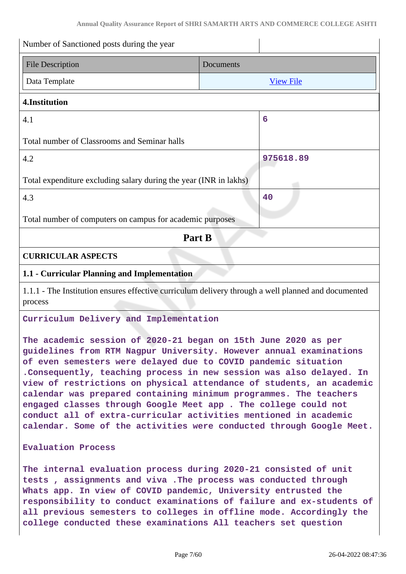| Number of Sanctioned posts during the year                                                                                                                                                                                                                                                                                                                                                                                                                                                                                                                                                                                                 |                  |  |
|--------------------------------------------------------------------------------------------------------------------------------------------------------------------------------------------------------------------------------------------------------------------------------------------------------------------------------------------------------------------------------------------------------------------------------------------------------------------------------------------------------------------------------------------------------------------------------------------------------------------------------------------|------------------|--|
| <b>File Description</b>                                                                                                                                                                                                                                                                                                                                                                                                                                                                                                                                                                                                                    | Documents        |  |
| Data Template                                                                                                                                                                                                                                                                                                                                                                                                                                                                                                                                                                                                                              | <b>View File</b> |  |
| 4.Institution                                                                                                                                                                                                                                                                                                                                                                                                                                                                                                                                                                                                                              |                  |  |
| 4.1                                                                                                                                                                                                                                                                                                                                                                                                                                                                                                                                                                                                                                        | 6                |  |
| Total number of Classrooms and Seminar halls                                                                                                                                                                                                                                                                                                                                                                                                                                                                                                                                                                                               |                  |  |
| 4.2                                                                                                                                                                                                                                                                                                                                                                                                                                                                                                                                                                                                                                        | 975618.89        |  |
| Total expenditure excluding salary during the year (INR in lakhs)                                                                                                                                                                                                                                                                                                                                                                                                                                                                                                                                                                          |                  |  |
| 4.3                                                                                                                                                                                                                                                                                                                                                                                                                                                                                                                                                                                                                                        | 40               |  |
| Total number of computers on campus for academic purposes                                                                                                                                                                                                                                                                                                                                                                                                                                                                                                                                                                                  |                  |  |
| Part B                                                                                                                                                                                                                                                                                                                                                                                                                                                                                                                                                                                                                                     |                  |  |
| <b>CURRICULAR ASPECTS</b>                                                                                                                                                                                                                                                                                                                                                                                                                                                                                                                                                                                                                  |                  |  |
| 1.1 - Curricular Planning and Implementation                                                                                                                                                                                                                                                                                                                                                                                                                                                                                                                                                                                               |                  |  |
| 1.1.1 - The Institution ensures effective curriculum delivery through a well planned and documented<br>process                                                                                                                                                                                                                                                                                                                                                                                                                                                                                                                             |                  |  |
| Curriculum Delivery and Implementation                                                                                                                                                                                                                                                                                                                                                                                                                                                                                                                                                                                                     |                  |  |
| The academic session of 2020-21 began on 15th June 2020 as per<br>guidelines from RTM Nagpur University. However annual examinations<br>of even semesters were delayed due to COVID pandemic situation<br>. Consequently, teaching process in new session was also delayed. In<br>view of restrictions on physical attendance of students, an academic<br>calendar was prepared containing minimum programmes. The teachers<br>engaged classes through Google Meet app . The college could not<br>conduct all of extra-curricular activities mentioned in academic<br>calendar. Some of the activities were conducted through Google Meet. |                  |  |
| <b>Evaluation Process</b>                                                                                                                                                                                                                                                                                                                                                                                                                                                                                                                                                                                                                  |                  |  |
| The internal evaluation process during 2020-21 consisted of unit<br>tests, assignments and viva. The process was conducted through<br>Whats app. In view of COVID pandemic, University entrusted the<br>responsibility to conduct examinations of failure and ex-students of<br>all previous semesters to colleges in offline mode. Accordingly the<br>college conducted these examinations All teachers set question                                                                                                                                                                                                                      |                  |  |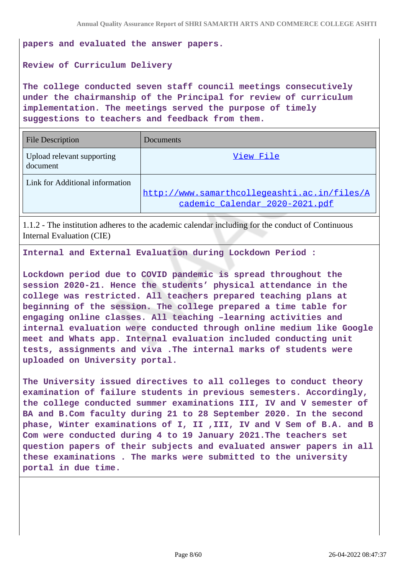**papers and evaluated the answer papers.**

#### **Review of Curriculum Delivery**

**The college conducted seven staff council meetings consecutively under the chairmanship of the Principal for review of curriculum implementation. The meetings served the purpose of timely suggestions to teachers and feedback from them.**

| <b>File Description</b>                | Documents                                                                      |
|----------------------------------------|--------------------------------------------------------------------------------|
| Upload relevant supporting<br>document | View File                                                                      |
| Link for Additional information        | http://www.samarthcollegeashti.ac.in/files/A<br>cademic Calendar 2020-2021.pdf |

1.1.2 - The institution adheres to the academic calendar including for the conduct of Continuous Internal Evaluation (CIE)

**Internal and External Evaluation during Lockdown Period :** 

**Lockdown period due to COVID pandemic is spread throughout the session 2020-21. Hence the students' physical attendance in the college was restricted. All teachers prepared teaching plans at beginning of the session. The college prepared a time table for engaging online classes. All teaching –learning activities and internal evaluation were conducted through online medium like Google meet and Whats app. Internal evaluation included conducting unit tests, assignments and viva .The internal marks of students were uploaded on University portal.**

**The University issued directives to all colleges to conduct theory examination of failure students in previous semesters. Accordingly, the college conducted summer examinations III, IV and V semester of BA and B.Com faculty during 21 to 28 September 2020. In the second phase, Winter examinations of I, II ,III, IV and V Sem of B.A. and B Com were conducted during 4 to 19 January 2021.The teachers set question papers of their subjects and evaluated answer papers in all these examinations . The marks were submitted to the university portal in due time.**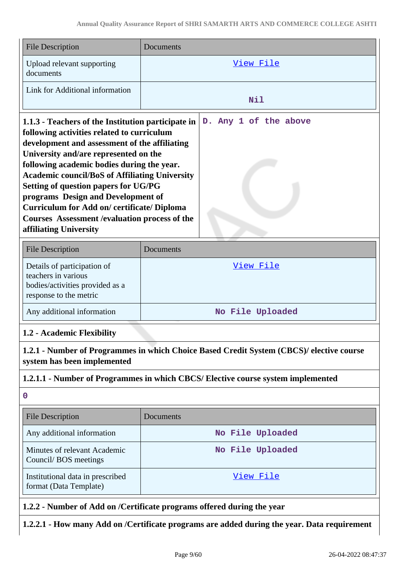| <b>File Description</b>                                                                                                                                                                                                                                                                                                                                                                                                                                                                                                | Documents                                                                                |
|------------------------------------------------------------------------------------------------------------------------------------------------------------------------------------------------------------------------------------------------------------------------------------------------------------------------------------------------------------------------------------------------------------------------------------------------------------------------------------------------------------------------|------------------------------------------------------------------------------------------|
| Upload relevant supporting<br>documents                                                                                                                                                                                                                                                                                                                                                                                                                                                                                | View File                                                                                |
| Link for Additional information                                                                                                                                                                                                                                                                                                                                                                                                                                                                                        | Nil                                                                                      |
| 1.1.3 - Teachers of the Institution participate in<br>following activities related to curriculum<br>development and assessment of the affiliating<br>University and/are represented on the<br>following academic bodies during the year.<br><b>Academic council/BoS of Affiliating University</b><br><b>Setting of question papers for UG/PG</b><br>programs Design and Development of<br>Curriculum for Add on/certificate/Diploma<br><b>Courses Assessment / evaluation process of the</b><br>affiliating University | D. Any 1 of the above                                                                    |
| <b>File Description</b>                                                                                                                                                                                                                                                                                                                                                                                                                                                                                                | Documents                                                                                |
| Details of participation of<br>teachers in various<br>bodies/activities provided as a<br>response to the metric                                                                                                                                                                                                                                                                                                                                                                                                        | View File                                                                                |
| Any additional information                                                                                                                                                                                                                                                                                                                                                                                                                                                                                             | No File Uploaded                                                                         |
| 1.2 - Academic Flexibility                                                                                                                                                                                                                                                                                                                                                                                                                                                                                             |                                                                                          |
| system has been implemented                                                                                                                                                                                                                                                                                                                                                                                                                                                                                            | 1.2.1 - Number of Programmes in which Choice Based Credit System (CBCS)/ elective course |
|                                                                                                                                                                                                                                                                                                                                                                                                                                                                                                                        | 1.2.1.1 - Number of Programmes in which CBCS/ Elective course system implemented         |
| $\mathbf 0$                                                                                                                                                                                                                                                                                                                                                                                                                                                                                                            |                                                                                          |
| <b>File Description</b>                                                                                                                                                                                                                                                                                                                                                                                                                                                                                                | Documents                                                                                |
| Any additional information                                                                                                                                                                                                                                                                                                                                                                                                                                                                                             | No File Uploaded                                                                         |
| Minutes of relevant Academic<br>Council/BOS meetings                                                                                                                                                                                                                                                                                                                                                                                                                                                                   | No File Uploaded                                                                         |
| Institutional data in prescribed<br>format (Data Template)                                                                                                                                                                                                                                                                                                                                                                                                                                                             | View File                                                                                |
|                                                                                                                                                                                                                                                                                                                                                                                                                                                                                                                        | 1.2.2 - Number of Add on /Certificate programs offered during the year                   |

**1.2.2.1 - How many Add on /Certificate programs are added during the year. Data requirement**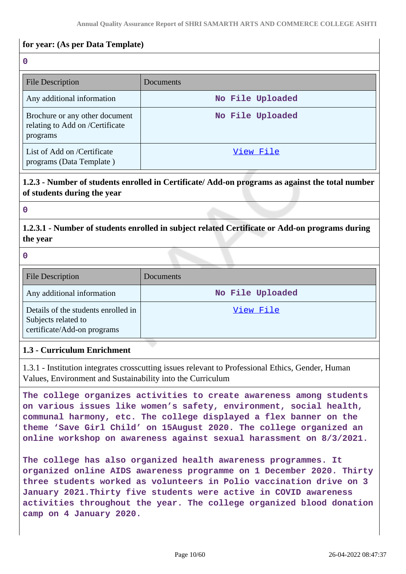#### **for year: (As per Data Template)**

**0**

| <b>File Description</b>                                                       | Documents        |
|-------------------------------------------------------------------------------|------------------|
| Any additional information                                                    | No File Uploaded |
| Brochure or any other document<br>relating to Add on /Certificate<br>programs | No File Uploaded |
| List of Add on /Certificate<br>programs (Data Template)                       | View File        |

#### **1.2.3 - Number of students enrolled in Certificate/ Add-on programs as against the total number of students during the year**

**0**

## **1.2.3.1 - Number of students enrolled in subject related Certificate or Add-on programs during the year**

#### **0**

| <b>File Description</b>                                                                   | Documents        |
|-------------------------------------------------------------------------------------------|------------------|
| Any additional information                                                                | No File Uploaded |
| Details of the students enrolled in<br>Subjects related to<br>certificate/Add-on programs | View File        |

#### **1.3 - Curriculum Enrichment**

1.3.1 - Institution integrates crosscutting issues relevant to Professional Ethics, Gender, Human Values, Environment and Sustainability into the Curriculum

**The college organizes activities to create awareness among students on various issues like women's safety, environment, social health, communal harmony, etc. The college displayed a flex banner on the theme 'Save Girl Child' on 15August 2020. The college organized an online workshop on awareness against sexual harassment on 8/3/2021.**

**The college has also organized health awareness programmes. It organized online AIDS awareness programme on 1 December 2020. Thirty three students worked as volunteers in Polio vaccination drive on 3 January 2021.Thirty five students were active in COVID awareness activities throughout the year. The college organized blood donation camp on 4 January 2020.**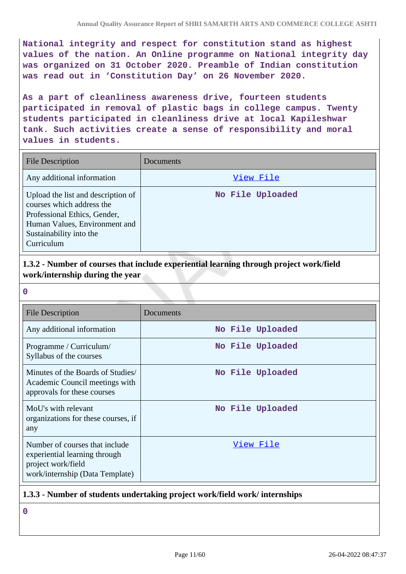**National integrity and respect for constitution stand as highest values of the nation. An Online programme on National integrity day was organized on 31 October 2020. Preamble of Indian constitution was read out in 'Constitution Day' on 26 November 2020.**

**As a part of cleanliness awareness drive, fourteen students participated in removal of plastic bags in college campus. Twenty students participated in cleanliness drive at local Kapileshwar tank. Such activities create a sense of responsibility and moral values in students.**

| <b>File Description</b>                                                                                                                                                   | Documents        |
|---------------------------------------------------------------------------------------------------------------------------------------------------------------------------|------------------|
| Any additional information                                                                                                                                                | View File        |
| Upload the list and description of<br>courses which address the<br>Professional Ethics, Gender,<br>Human Values, Environment and<br>Sustainability into the<br>Curriculum | No File Uploaded |

**1.3.2 - Number of courses that include experiential learning through project work/field work/internship during the year**

**0**

| <b>File Description</b>                                                                                                  | Documents        |
|--------------------------------------------------------------------------------------------------------------------------|------------------|
| Any additional information                                                                                               | No File Uploaded |
| Programme / Curriculum/<br>Syllabus of the courses                                                                       | No File Uploaded |
| Minutes of the Boards of Studies<br>Academic Council meetings with<br>approvals for these courses                        | No File Uploaded |
| MoU's with relevant<br>organizations for these courses, if<br>any                                                        | No File Uploaded |
| Number of courses that include<br>experiential learning through<br>project work/field<br>work/internship (Data Template) | View File        |

#### **1.3.3 - Number of students undertaking project work/field work/ internships**

**0**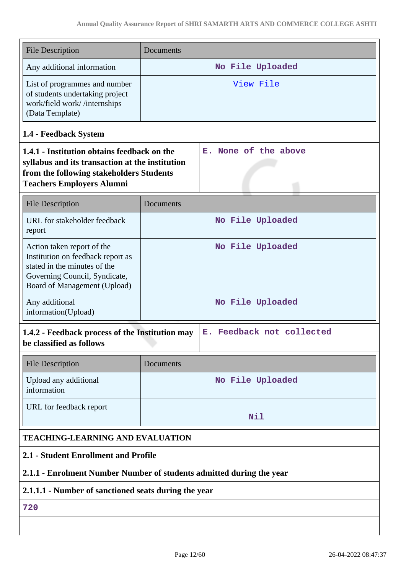| <b>File Description</b>                                                                                                                                                        | Documents |                                          |
|--------------------------------------------------------------------------------------------------------------------------------------------------------------------------------|-----------|------------------------------------------|
| Any additional information                                                                                                                                                     |           | No File Uploaded                         |
| List of programmes and number<br>of students undertaking project<br>work/field work//internships<br>(Data Template)                                                            |           | View File                                |
| 1.4 - Feedback System                                                                                                                                                          |           |                                          |
| 1.4.1 - Institution obtains feedback on the<br>syllabus and its transaction at the institution<br>from the following stakeholders Students<br><b>Teachers Employers Alumni</b> |           | E. None of the above                     |
| <b>File Description</b>                                                                                                                                                        | Documents |                                          |
| URL for stakeholder feedback<br>report                                                                                                                                         |           | No File Uploaded                         |
| Action taken report of the<br>Institution on feedback report as<br>stated in the minutes of the<br>Governing Council, Syndicate,<br>Board of Management (Upload)               |           | No File Uploaded                         |
| Any additional<br>information(Upload)                                                                                                                                          |           | No File Uploaded                         |
| 1.4.2 - Feedback process of the Institution may<br>be classified as follows                                                                                                    |           | Feedback not collected<br>$\mathbf{E}$ . |
| <b>File Description</b>                                                                                                                                                        | Documents |                                          |
| Upload any additional<br>information                                                                                                                                           |           | No File Uploaded                         |
| URL for feedback report                                                                                                                                                        |           | Nil                                      |
| <b>TEACHING-LEARNING AND EVALUATION</b>                                                                                                                                        |           |                                          |
| 2.1 - Student Enrollment and Profile                                                                                                                                           |           |                                          |
| 2.1.1 - Enrolment Number Number of students admitted during the year                                                                                                           |           |                                          |
| 2.1.1.1 - Number of sanctioned seats during the year                                                                                                                           |           |                                          |
| 720                                                                                                                                                                            |           |                                          |
|                                                                                                                                                                                |           |                                          |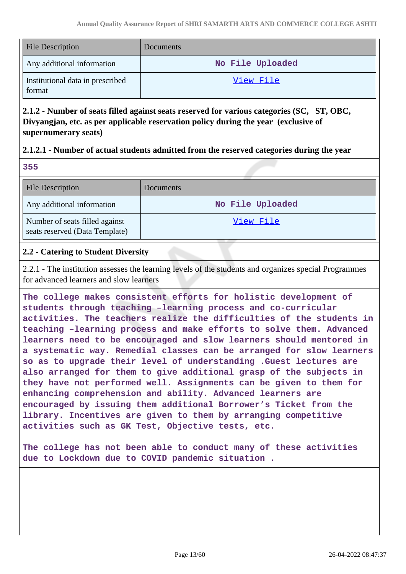| <b>File Description</b>                    | Documents        |
|--------------------------------------------|------------------|
| Any additional information                 | No File Uploaded |
| Institutional data in prescribed<br>format | View File        |

**2.1.2 - Number of seats filled against seats reserved for various categories (SC, ST, OBC, Divyangjan, etc. as per applicable reservation policy during the year (exclusive of supernumerary seats)**

#### **2.1.2.1 - Number of actual students admitted from the reserved categories during the year**

**355**

| <b>File Description</b>                                          | <b>Documents</b> |
|------------------------------------------------------------------|------------------|
| Any additional information                                       | No File Uploaded |
| Number of seats filled against<br>seats reserved (Data Template) | View File        |

#### **2.2 - Catering to Student Diversity**

2.2.1 - The institution assesses the learning levels of the students and organizes special Programmes for advanced learners and slow learners

**The college makes consistent efforts for holistic development of students through teaching –learning process and co-curricular activities. The teachers realize the difficulties of the students in teaching –learning process and make efforts to solve them. Advanced learners need to be encouraged and slow learners should mentored in a systematic way. Remedial classes can be arranged for slow learners so as to upgrade their level of understanding .Guest lectures are also arranged for them to give additional grasp of the subjects in they have not performed well. Assignments can be given to them for enhancing comprehension and ability. Advanced learners are encouraged by issuing them additional Borrower's Ticket from the library. Incentives are given to them by arranging competitive activities such as GK Test, Objective tests, etc.**

**The college has not been able to conduct many of these activities due to Lockdown due to COVID pandemic situation .**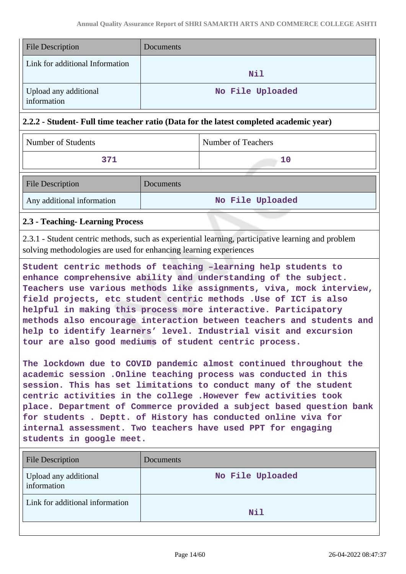| <b>File Description</b>              | Documents        |
|--------------------------------------|------------------|
| Link for additional Information      | Nil              |
| Upload any additional<br>information | No File Uploaded |

#### **2.2.2 - Student- Full time teacher ratio (Data for the latest completed academic year)**

| Number of Students         |           | Number of Teachers |
|----------------------------|-----------|--------------------|
| 371                        |           | 10                 |
| <b>File Description</b>    | Documents |                    |
| Any additional information |           | No File Uploaded   |

#### **2.3 - Teaching- Learning Process**

2.3.1 - Student centric methods, such as experiential learning, participative learning and problem solving methodologies are used for enhancing learning experiences

**Student centric methods of teaching –learning help students to enhance comprehensive ability and understanding of the subject. Teachers use various methods like assignments, viva, mock interview, field projects, etc student centric methods .Use of ICT is also helpful in making this process more interactive. Participatory methods also encourage interaction between teachers and students and help to identify learners' level. Industrial visit and excursion tour are also good mediums of student centric process.**

**The lockdown due to COVID pandemic almost continued throughout the academic session .Online teaching process was conducted in this session. This has set limitations to conduct many of the student centric activities in the college .However few activities took place. Department of Commerce provided a subject based question bank for students . Deptt. of History has conducted online viva for internal assessment. Two teachers have used PPT for engaging students in google meet.**

| <b>File Description</b>              | Documents        |
|--------------------------------------|------------------|
| Upload any additional<br>information | No File Uploaded |
| Link for additional information      | <b>Nil</b>       |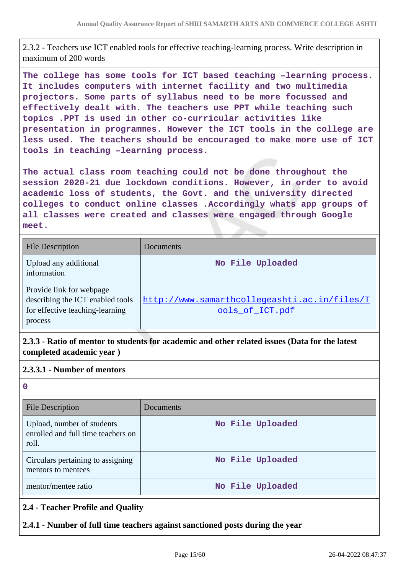2.3.2 - Teachers use ICT enabled tools for effective teaching-learning process. Write description in maximum of 200 words

**The college has some tools for ICT based teaching –learning process. It includes computers with internet facility and two multimedia projectors. Some parts of syllabus need to be more focussed and effectively dealt with. The teachers use PPT while teaching such topics .PPT is used in other co-curricular activities like presentation in programmes. However the ICT tools in the college are less used. The teachers should be encouraged to make more use of ICT tools in teaching –learning process.**

**The actual class room teaching could not be done throughout the session 2020-21 due lockdown conditions. However, in order to avoid academic loss of students, the Govt. and the university directed colleges to conduct online classes .Accordingly whats app groups of all classes were created and classes were engaged through Google meet.**

| <b>File Description</b>                                                                                    | Documents                                                       |
|------------------------------------------------------------------------------------------------------------|-----------------------------------------------------------------|
| Upload any additional<br>information                                                                       | No File Uploaded                                                |
| Provide link for webpage<br>describing the ICT enabled tools<br>for effective teaching-learning<br>process | http://www.samarthcollegeashti.ac.in/files/T<br>ools of ICT.pdf |

**2.3.3 - Ratio of mentor to students for academic and other related issues (Data for the latest completed academic year )**

#### **2.3.3.1 - Number of mentors**

**0**

| <b>File Description</b>                                                   | Documents        |
|---------------------------------------------------------------------------|------------------|
| Upload, number of students<br>enrolled and full time teachers on<br>roll. | No File Uploaded |
| Circulars pertaining to assigning<br>mentors to mentees                   | No File Uploaded |
| mentor/mentee ratio                                                       | No File Uploaded |
| 2.4 - Teacher Profile and Quality                                         |                  |

#### **2.4.1 - Number of full time teachers against sanctioned posts during the year**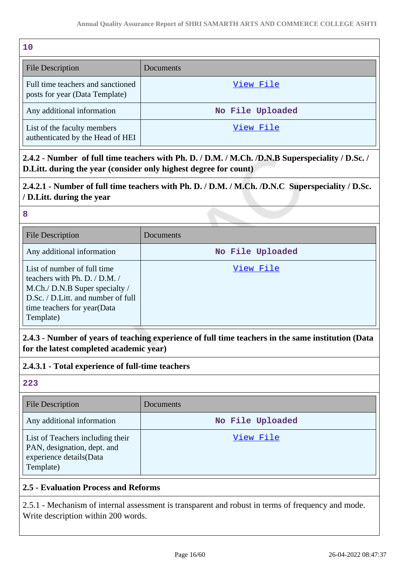| 10                                                                  |                  |
|---------------------------------------------------------------------|------------------|
| <b>File Description</b>                                             | Documents        |
| Full time teachers and sanctioned<br>posts for year (Data Template) | View File        |
| Any additional information                                          | No File Uploaded |
| List of the faculty members<br>authenticated by the Head of HEI     | View File        |

**2.4.2 - Number of full time teachers with Ph. D. / D.M. / M.Ch. /D.N.B Superspeciality / D.Sc. / D.Litt. during the year (consider only highest degree for count)**

## **2.4.2.1 - Number of full time teachers with Ph. D. / D.M. / M.Ch. /D.N.C Superspeciality / D.Sc. / D.Litt. during the year**

**8**

| <b>File Description</b>                                                                                                                                                              | Documents        |
|--------------------------------------------------------------------------------------------------------------------------------------------------------------------------------------|------------------|
| Any additional information                                                                                                                                                           | No File Uploaded |
| List of number of full time<br>teachers with Ph. D. $/$ D.M. $/$<br>M.Ch./ D.N.B Super specialty /<br>D.Sc. / D.Litt. and number of full<br>time teachers for year(Data<br>Template) | View File        |

**2.4.3 - Number of years of teaching experience of full time teachers in the same institution (Data for the latest completed academic year)**

## **2.4.3.1 - Total experience of full-time teachers**

**223**

| <b>File Description</b>                                                                                 | Documents        |
|---------------------------------------------------------------------------------------------------------|------------------|
| Any additional information                                                                              | No File Uploaded |
| List of Teachers including their<br>PAN, designation, dept. and<br>experience details(Data<br>Template) | View File        |

## **2.5 - Evaluation Process and Reforms**

2.5.1 - Mechanism of internal assessment is transparent and robust in terms of frequency and mode. Write description within 200 words.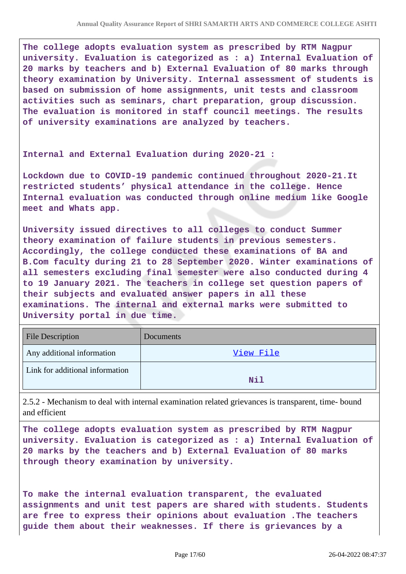**The college adopts evaluation system as prescribed by RTM Nagpur university. Evaluation is categorized as : a) Internal Evaluation of 20 marks by teachers and b) External Evaluation of 80 marks through theory examination by University. Internal assessment of students is based on submission of home assignments, unit tests and classroom activities such as seminars, chart preparation, group discussion. The evaluation is monitored in staff council meetings. The results of university examinations are analyzed by teachers.**

**Internal and External Evaluation during 2020-21 :** 

**Lockdown due to COVID-19 pandemic continued throughout 2020-21.It restricted students' physical attendance in the college. Hence Internal evaluation was conducted through online medium like Google meet and Whats app.**

**University issued directives to all colleges to conduct Summer theory examination of failure students in previous semesters. Accordingly, the college conducted these examinations of BA and B.Com faculty during 21 to 28 September 2020. Winter examinations of all semesters excluding final semester were also conducted during 4 to 19 January 2021. The teachers in college set question papers of their subjects and evaluated answer papers in all these examinations. The internal and external marks were submitted to University portal in due time.**

| <b>File Description</b>         | Documents  |
|---------------------------------|------------|
| Any additional information      | View File  |
| Link for additional information | <b>Nil</b> |

2.5.2 - Mechanism to deal with internal examination related grievances is transparent, time- bound and efficient

**The college adopts evaluation system as prescribed by RTM Nagpur university. Evaluation is categorized as : a) Internal Evaluation of 20 marks by the teachers and b) External Evaluation of 80 marks through theory examination by university.**

**To make the internal evaluation transparent, the evaluated assignments and unit test papers are shared with students. Students are free to express their opinions about evaluation .The teachers guide them about their weaknesses. If there is grievances by a**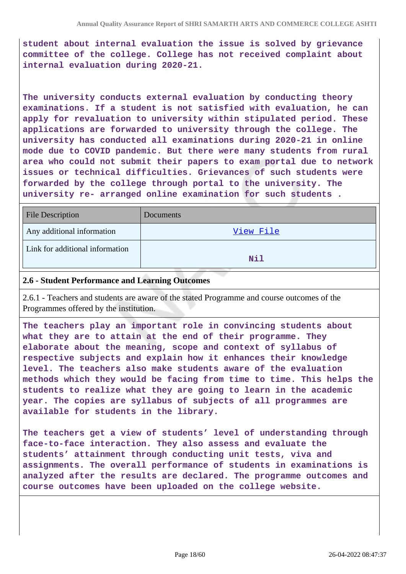**student about internal evaluation the issue is solved by grievance committee of the college. College has not received complaint about internal evaluation during 2020-21.**

**The university conducts external evaluation by conducting theory examinations. If a student is not satisfied with evaluation, he can apply for revaluation to university within stipulated period. These applications are forwarded to university through the college. The university has conducted all examinations during 2020-21 in online mode due to COVID pandemic. But there were many students from rural area who could not submit their papers to exam portal due to network issues or technical difficulties. Grievances of such students were forwarded by the college through portal to the university. The university re- arranged online examination for such students .**

| <b>File Description</b>         | <b>Documents</b> |
|---------------------------------|------------------|
| Any additional information      | View File        |
| Link for additional information | Nil              |

#### **2.6 - Student Performance and Learning Outcomes**

2.6.1 - Teachers and students are aware of the stated Programme and course outcomes of the Programmes offered by the institution.

**The teachers play an important role in convincing students about what they are to attain at the end of their programme. They elaborate about the meaning, scope and context of syllabus of respective subjects and explain how it enhances their knowledge level. The teachers also make students aware of the evaluation methods which they would be facing from time to time. This helps the students to realize what they are going to learn in the academic year. The copies are syllabus of subjects of all programmes are available for students in the library.**

**The teachers get a view of students' level of understanding through face-to-face interaction. They also assess and evaluate the students' attainment through conducting unit tests, viva and assignments. The overall performance of students in examinations is analyzed after the results are declared. The programme outcomes and course outcomes have been uploaded on the college website.**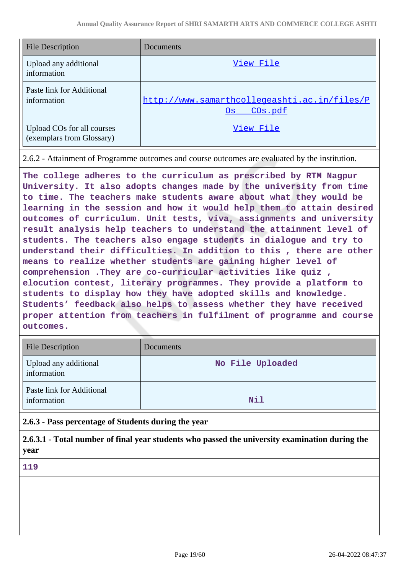| <b>File Description</b>                                 | Documents                                                       |
|---------------------------------------------------------|-----------------------------------------------------------------|
| Upload any additional<br>information                    | View File                                                       |
| Paste link for Additional<br>information                | http://www.samarthcollegeashti.ac.in/files/P<br>COs.pdf<br>Os l |
| Upload COs for all courses<br>(exemplars from Glossary) | View File                                                       |

2.6.2 - Attainment of Programme outcomes and course outcomes are evaluated by the institution.

**The college adheres to the curriculum as prescribed by RTM Nagpur University. It also adopts changes made by the university from time to time. The teachers make students aware about what they would be learning in the session and how it would help them to attain desired outcomes of curriculum. Unit tests, viva, assignments and university result analysis help teachers to understand the attainment level of students. The teachers also engage students in dialogue and try to understand their difficulties. In addition to this , there are other means to realize whether students are gaining higher level of comprehension .They are co-curricular activities like quiz , elocution contest, literary programmes. They provide a platform to students to display how they have adopted skills and knowledge. Students' feedback also helps to assess whether they have received proper attention from teachers in fulfilment of programme and course outcomes.**

| <b>File Description</b>                  | <b>Documents</b> |
|------------------------------------------|------------------|
| Upload any additional<br>information     | No File Uploaded |
| Paste link for Additional<br>information | Nil              |

**2.6.3 - Pass percentage of Students during the year**

**2.6.3.1 - Total number of final year students who passed the university examination during the year**

**119**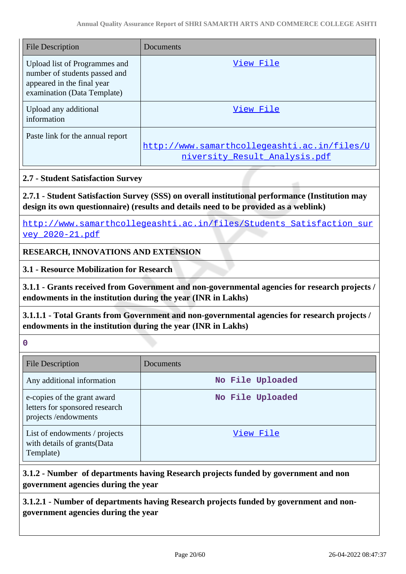| <b>File Description</b>                                                                                                     | Documents                                                                     |
|-----------------------------------------------------------------------------------------------------------------------------|-------------------------------------------------------------------------------|
| Upload list of Programmes and<br>number of students passed and<br>appeared in the final year<br>examination (Data Template) | View File                                                                     |
| Upload any additional<br>information                                                                                        | View File                                                                     |
| Paste link for the annual report                                                                                            | http://www.samarthcollegeashti.ac.in/files/U<br>niversity Result Analysis.pdf |

#### **2.7 - Student Satisfaction Survey**

**2.7.1 - Student Satisfaction Survey (SSS) on overall institutional performance (Institution may design its own questionnaire) (results and details need to be provided as a weblink)**

[http://www.samarthcollegeashti.ac.in/files/Students\\_Satisfaction\\_sur](http://www.samarthcollegeashti.ac.in/files/Students_Satisfaction_survey_2020-21.pdf) [vey\\_2020-21.pdf](http://www.samarthcollegeashti.ac.in/files/Students_Satisfaction_survey_2020-21.pdf)

#### **RESEARCH, INNOVATIONS AND EXTENSION**

**3.1 - Resource Mobilization for Research**

**3.1.1 - Grants received from Government and non-governmental agencies for research projects / endowments in the institution during the year (INR in Lakhs)**

**3.1.1.1 - Total Grants from Government and non-governmental agencies for research projects / endowments in the institution during the year (INR in Lakhs)**

**0**

| <b>File Description</b>                                                              | Documents        |
|--------------------------------------------------------------------------------------|------------------|
| Any additional information                                                           | No File Uploaded |
| e-copies of the grant award<br>letters for sponsored research<br>projects/endowments | No File Uploaded |
| List of endowments / projects<br>with details of grants (Data<br>Template)           | View File        |

**3.1.2 - Number of departments having Research projects funded by government and non government agencies during the year**

**3.1.2.1 - Number of departments having Research projects funded by government and nongovernment agencies during the year**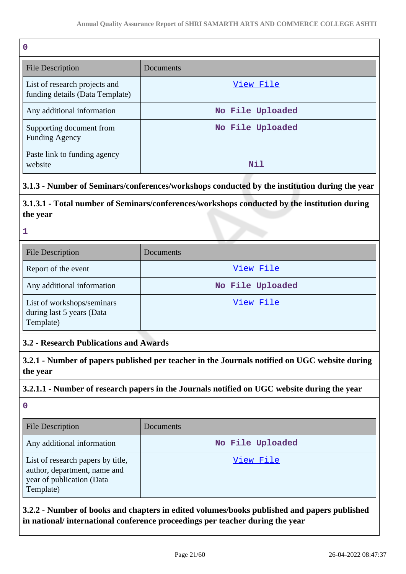| $\mathbf 0$                                                      |                  |
|------------------------------------------------------------------|------------------|
| <b>File Description</b>                                          | Documents        |
| List of research projects and<br>funding details (Data Template) | View File        |
| Any additional information                                       | No File Uploaded |
| Supporting document from<br><b>Funding Agency</b>                | No File Uploaded |
| Paste link to funding agency<br>website                          | Nil              |

## **3.1.3 - Number of Seminars/conferences/workshops conducted by the institution during the year**

**3.1.3.1 - Total number of Seminars/conferences/workshops conducted by the institution during the year**

#### **1**

| <b>File Description</b>                                              | Documents        |
|----------------------------------------------------------------------|------------------|
| Report of the event                                                  | View File        |
| Any additional information                                           | No File Uploaded |
| List of workshops/seminars<br>during last 5 years (Data<br>Template) | View File        |

#### **3.2 - Research Publications and Awards**

**3.2.1 - Number of papers published per teacher in the Journals notified on UGC website during the year**

#### **3.2.1.1 - Number of research papers in the Journals notified on UGC website during the year**

**0**

| <b>File Description</b>                                                                                     | <b>Documents</b> |
|-------------------------------------------------------------------------------------------------------------|------------------|
| Any additional information                                                                                  | No File Uploaded |
| List of research papers by title,<br>author, department, name and<br>year of publication (Data<br>Template) | View File        |

**3.2.2 - Number of books and chapters in edited volumes/books published and papers published in national/ international conference proceedings per teacher during the year**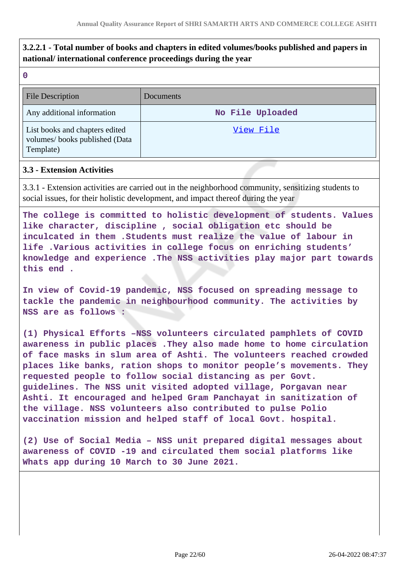## **3.2.2.1 - Total number of books and chapters in edited volumes/books published and papers in national/ international conference proceedings during the year**

| P. |    |    |  |
|----|----|----|--|
|    |    |    |  |
|    | ۰. | ۰. |  |

| <b>File Description</b>                                                      | Documents        |
|------------------------------------------------------------------------------|------------------|
| Any additional information                                                   | No File Uploaded |
| List books and chapters edited<br>volumes/books published (Data<br>Template) | View File        |

#### **3.3 - Extension Activities**

3.3.1 - Extension activities are carried out in the neighborhood community, sensitizing students to social issues, for their holistic development, and impact thereof during the year

**The college is committed to holistic development of students. Values like character, discipline , social obligation etc should be inculcated in them .Students must realize the value of labour in life .Various activities in college focus on enriching students' knowledge and experience .The NSS activities play major part towards this end .**

**In view of Covid-19 pandemic, NSS focused on spreading message to tackle the pandemic in neighbourhood community. The activities by NSS are as follows :**

**(1) Physical Efforts –NSS volunteers circulated pamphlets of COVID awareness in public places .They also made home to home circulation of face masks in slum area of Ashti. The volunteers reached crowded places like banks, ration shops to monitor people's movements. They requested people to follow social distancing as per Govt. guidelines. The NSS unit visited adopted village, Porgavan near Ashti. It encouraged and helped Gram Panchayat in sanitization of the village. NSS volunteers also contributed to pulse Polio vaccination mission and helped staff of local Govt. hospital.**

**(2) Use of Social Media – NSS unit prepared digital messages about awareness of COVID -19 and circulated them social platforms like Whats app during 10 March to 30 June 2021.**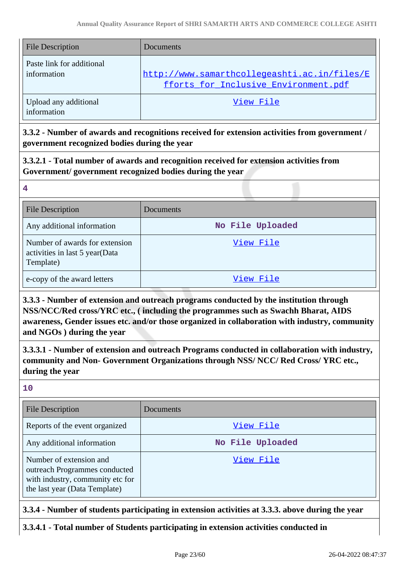| <b>File Description</b>                  | <b>Documents</b>                                                                     |
|------------------------------------------|--------------------------------------------------------------------------------------|
| Paste link for additional<br>information | http://www.samarthcollegeashti.ac.in/files/E<br>fforts_for_Inclusive_Environment.pdf |
| Upload any additional<br>information     | View File                                                                            |

**3.3.2 - Number of awards and recognitions received for extension activities from government / government recognized bodies during the year**

**3.3.2.1 - Total number of awards and recognition received for extension activities from Government/ government recognized bodies during the year**

| <b>File Description</b>                                                       | Documents        |
|-------------------------------------------------------------------------------|------------------|
| Any additional information                                                    | No File Uploaded |
| Number of awards for extension<br>activities in last 5 year(Data<br>Template) | View File        |
| e-copy of the award letters                                                   | View File        |

**3.3.3 - Number of extension and outreach programs conducted by the institution through NSS/NCC/Red cross/YRC etc., ( including the programmes such as Swachh Bharat, AIDS awareness, Gender issues etc. and/or those organized in collaboration with industry, community and NGOs ) during the year**

**3.3.3.1 - Number of extension and outreach Programs conducted in collaboration with industry, community and Non- Government Organizations through NSS/ NCC/ Red Cross/ YRC etc., during the year**

**10**

**4**

| <b>File Description</b>                                                                                                       | Documents        |
|-------------------------------------------------------------------------------------------------------------------------------|------------------|
| Reports of the event organized                                                                                                | View File        |
| Any additional information                                                                                                    | No File Uploaded |
| Number of extension and<br>outreach Programmes conducted<br>with industry, community etc for<br>the last year (Data Template) | View File        |

## **3.3.4 - Number of students participating in extension activities at 3.3.3. above during the year**

## **3.3.4.1 - Total number of Students participating in extension activities conducted in**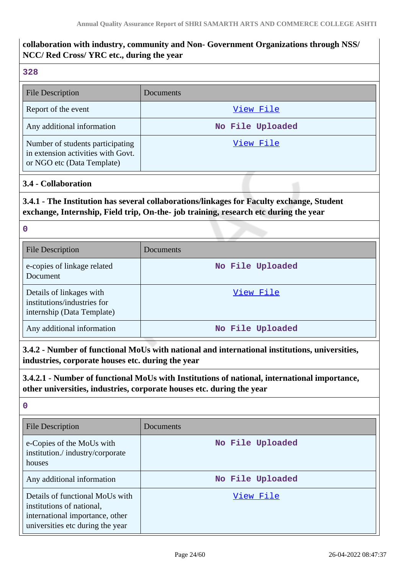## **collaboration with industry, community and Non- Government Organizations through NSS/ NCC/ Red Cross/ YRC etc., during the year**

#### **328**

| <b>File Description</b>                                                                              | Documents        |
|------------------------------------------------------------------------------------------------------|------------------|
| Report of the event                                                                                  | View File        |
| Any additional information                                                                           | No File Uploaded |
| Number of students participating<br>in extension activities with Govt.<br>or NGO etc (Data Template) | View File        |

#### **3.4 - Collaboration**

## **3.4.1 - The Institution has several collaborations/linkages for Faculty exchange, Student exchange, Internship, Field trip, On-the- job training, research etc during the year**

#### **0**

| <b>File Description</b>                                                               | Documents        |
|---------------------------------------------------------------------------------------|------------------|
| e-copies of linkage related<br>Document                                               | No File Uploaded |
| Details of linkages with<br>institutions/industries for<br>internship (Data Template) | View File        |
| Any additional information                                                            | No File Uploaded |

## **3.4.2 - Number of functional MoUs with national and international institutions, universities, industries, corporate houses etc. during the year**

#### **3.4.2.1 - Number of functional MoUs with Institutions of national, international importance, other universities, industries, corporate houses etc. during the year**

## **0**

| <b>File Description</b>                                                                                                             | Documents        |
|-------------------------------------------------------------------------------------------------------------------------------------|------------------|
| e-Copies of the MoUs with<br>institution./industry/corporate<br>houses                                                              | No File Uploaded |
| Any additional information                                                                                                          | No File Uploaded |
| Details of functional MoUs with<br>institutions of national,<br>international importance, other<br>universities etc during the year | View File        |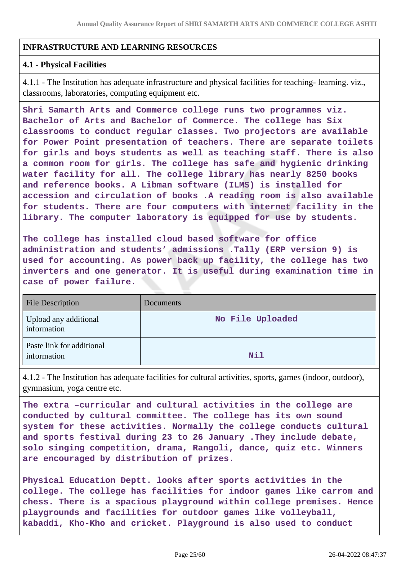#### **INFRASTRUCTURE AND LEARNING RESOURCES**

#### **4.1 - Physical Facilities**

4.1.1 - The Institution has adequate infrastructure and physical facilities for teaching- learning. viz., classrooms, laboratories, computing equipment etc.

**Shri Samarth Arts and Commerce college runs two programmes viz. Bachelor of Arts and Bachelor of Commerce. The college has Six classrooms to conduct regular classes. Two projectors are available for Power Point presentation of teachers. There are separate toilets for girls and boys students as well as teaching staff. There is also a common room for girls. The college has safe and hygienic drinking water facility for all. The college library has nearly 8250 books and reference books. A Libman software (ILMS) is installed for accession and circulation of books .A reading room is also available for students. There are four computers with internet facility in the library. The computer laboratory is equipped for use by students.**

**The college has installed cloud based software for office administration and students' admissions .Tally (ERP version 9) is used for accounting. As power back up facility, the college has two inverters and one generator. It is useful during examination time in case of power failure.**

| <b>File Description</b>                  | Documents        |
|------------------------------------------|------------------|
| Upload any additional<br>information     | No File Uploaded |
| Paste link for additional<br>information | Nil              |

4.1.2 - The Institution has adequate facilities for cultural activities, sports, games (indoor, outdoor), gymnasium, yoga centre etc.

**The extra –curricular and cultural activities in the college are conducted by cultural committee. The college has its own sound system for these activities. Normally the college conducts cultural and sports festival during 23 to 26 January .They include debate, solo singing competition, drama, Rangoli, dance, quiz etc. Winners are encouraged by distribution of prizes.**

**Physical Education Deptt. looks after sports activities in the college. The college has facilities for indoor games like carrom and chess. There is a spacious playground within college premises. Hence playgrounds and facilities for outdoor games like volleyball, kabaddi, Kho-Kho and cricket. Playground is also used to conduct**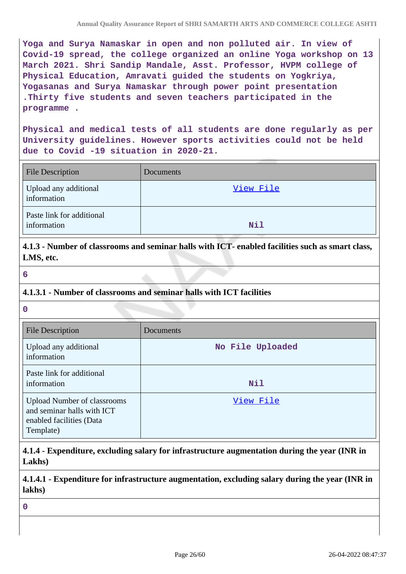**Yoga and Surya Namaskar in open and non polluted air. In view of Covid-19 spread, the college organized an online Yoga workshop on 13 March 2021. Shri Sandip Mandale, Asst. Professor, HVPM college of Physical Education, Amravati guided the students on Yogkriya, Yogasanas and Surya Namaskar through power point presentation .Thirty five students and seven teachers participated in the programme .**

**Physical and medical tests of all students are done regularly as per University guidelines. However sports activities could not be held due to Covid -19 situation in 2020-21.**

| <b>File Description</b>                  | Documents |
|------------------------------------------|-----------|
| Upload any additional<br>information     | View File |
| Paste link for additional<br>information | Nil       |

**4.1.3 - Number of classrooms and seminar halls with ICT- enabled facilities such as smart class, LMS, etc.**

**6**

#### **4.1.3.1 - Number of classrooms and seminar halls with ICT facilities**

**0**

| <b>File Description</b>                                                                                   | Documents        |
|-----------------------------------------------------------------------------------------------------------|------------------|
| Upload any additional<br>information                                                                      | No File Uploaded |
| Paste link for additional<br>information                                                                  | Nil              |
| <b>Upload Number of classrooms</b><br>and seminar halls with ICT<br>enabled facilities (Data<br>Template) | View File        |

## **4.1.4 - Expenditure, excluding salary for infrastructure augmentation during the year (INR in Lakhs)**

**4.1.4.1 - Expenditure for infrastructure augmentation, excluding salary during the year (INR in lakhs)**

**0**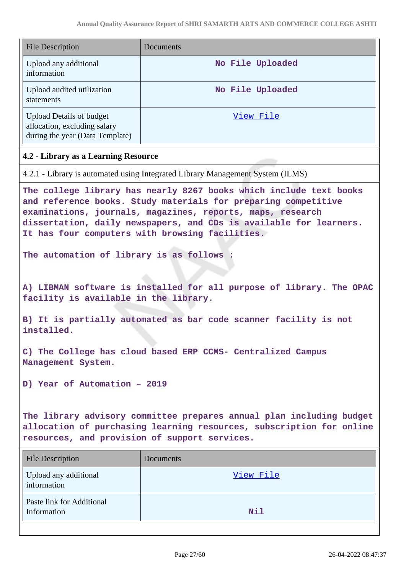| <b>File Description</b>                                                                                                                                                                                                                                                                                                     | Documents                                                                      |  |
|-----------------------------------------------------------------------------------------------------------------------------------------------------------------------------------------------------------------------------------------------------------------------------------------------------------------------------|--------------------------------------------------------------------------------|--|
| Upload any additional<br>information                                                                                                                                                                                                                                                                                        | No File Uploaded                                                               |  |
| Upload audited utilization<br>statements                                                                                                                                                                                                                                                                                    | No File Uploaded                                                               |  |
| <b>Upload Details of budget</b><br>allocation, excluding salary<br>during the year (Data Template)                                                                                                                                                                                                                          | View File                                                                      |  |
| 4.2 - Library as a Learning Resource                                                                                                                                                                                                                                                                                        |                                                                                |  |
|                                                                                                                                                                                                                                                                                                                             | 4.2.1 - Library is automated using Integrated Library Management System (ILMS) |  |
| The college library has nearly 8267 books which include text books<br>and reference books. Study materials for preparing competitive<br>examinations, journals, magazines, reports, maps, research<br>dissertation, daily newspapers, and CDs is available for learners.<br>It has four computers with browsing facilities. |                                                                                |  |
| The automation of library is as follows :                                                                                                                                                                                                                                                                                   |                                                                                |  |
| A) LIBMAN software is installed for all purpose of library. The OPAC<br>facility is available in the library.                                                                                                                                                                                                               |                                                                                |  |
| B) It is partially automated as bar code scanner facility is not<br>installed.                                                                                                                                                                                                                                              |                                                                                |  |
| C) The College has cloud based ERP CCMS- Centralized Campus<br>Management System.                                                                                                                                                                                                                                           |                                                                                |  |
| D) Year of Automation - 2019                                                                                                                                                                                                                                                                                                |                                                                                |  |
| The library advisory committee prepares annual plan including budget<br>allocation of purchasing learning resources, subscription for online<br>resources, and provision of support services.                                                                                                                               |                                                                                |  |
| <b>File Description</b>                                                                                                                                                                                                                                                                                                     | Documents                                                                      |  |
| Upload any additional<br>information                                                                                                                                                                                                                                                                                        | <u>View File</u>                                                               |  |
| Paste link for Additional<br>Information                                                                                                                                                                                                                                                                                    | Nil                                                                            |  |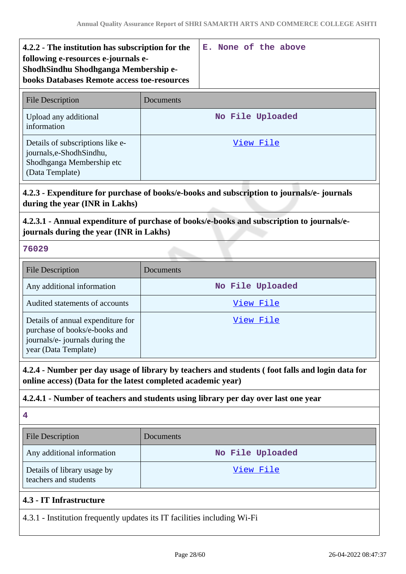| 4.2.2 - The institution has subscription for the<br>following e-resources e-journals e-<br>ShodhSindhu Shodhganga Membership e-<br><b>books Databases Remote access toe-resources</b> |           | E. None of the above |  |
|---------------------------------------------------------------------------------------------------------------------------------------------------------------------------------------|-----------|----------------------|--|
| <b>File Description</b>                                                                                                                                                               | Documents |                      |  |
| Upload any additional<br>information                                                                                                                                                  |           | No File Uploaded     |  |
| Details of subscriptions like e-<br>journals, e-Shodh Sindhu,<br>Shodhganga Membership etc<br>(Data Template)                                                                         |           | View File            |  |

## **4.2.3 - Expenditure for purchase of books/e-books and subscription to journals/e- journals during the year (INR in Lakhs)**

## **4.2.3.1 - Annual expenditure of purchase of books/e-books and subscription to journals/ejournals during the year (INR in Lakhs)**

#### **76029**

| <b>File Description</b>                                                                                                       | Documents        |
|-------------------------------------------------------------------------------------------------------------------------------|------------------|
| Any additional information                                                                                                    | No File Uploaded |
| Audited statements of accounts                                                                                                | View File        |
| Details of annual expenditure for<br>purchase of books/e-books and<br>journals/e- journals during the<br>year (Data Template) | View File        |

**4.2.4 - Number per day usage of library by teachers and students ( foot falls and login data for online access) (Data for the latest completed academic year)**

## **4.2.4.1 - Number of teachers and students using library per day over last one year**

**4**

| <b>File Description</b>                              | <b>Documents</b> |
|------------------------------------------------------|------------------|
| Any additional information                           | No File Uploaded |
| Details of library usage by<br>teachers and students | View File        |
| 4.3 - IT Infrastructure                              |                  |

4.3.1 - Institution frequently updates its IT facilities including Wi-Fi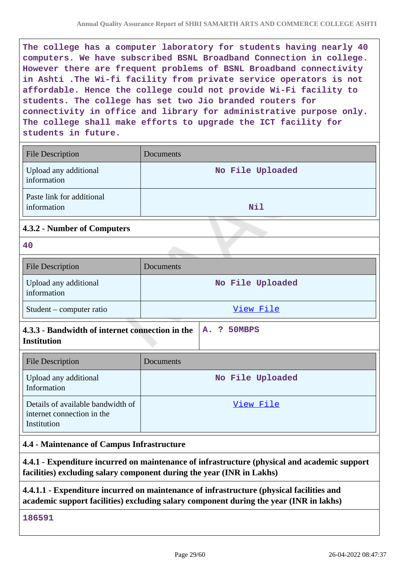**The college has a computer laboratory for students having nearly 40 computers. We have subscribed BSNL Broadband Connection in college. However there are frequent problems of BSNL Broadband connectivity in Ashti .The Wi-fi facility from private service operators is not affordable. Hence the college could not provide Wi-Fi facility to students. The college has set two Jio branded routers for connectivity in office and library for administrative purpose only. The college shall make efforts to upgrade the ICT facility for students in future.**

| <b>File Description</b>                  | Documents        |
|------------------------------------------|------------------|
| Upload any additional<br>information     | No File Uploaded |
| Paste link for additional<br>information | Nil              |

## **4.3.2 - Number of Computers**

| w      |
|--------|
| ×<br>٧ |

| <b>File Description</b>              | Documents        |
|--------------------------------------|------------------|
| Upload any additional<br>information | No File Uploaded |
| $Student$ – computer ratio           | View File        |

| 4.3.3 - Bandwidth of internet connection in the $ A.$ ? 50MBPS |  |  |
|----------------------------------------------------------------|--|--|
| <b>Institution</b>                                             |  |  |

| <b>File Description</b>                                                        | <b>Documents</b> |
|--------------------------------------------------------------------------------|------------------|
| Upload any additional<br>Information                                           | No File Uploaded |
| Details of available bandwidth of<br>internet connection in the<br>Institution | View File        |

## **4.4 - Maintenance of Campus Infrastructure**

**4.4.1 - Expenditure incurred on maintenance of infrastructure (physical and academic support facilities) excluding salary component during the year (INR in Lakhs)**

## **4.4.1.1 - Expenditure incurred on maintenance of infrastructure (physical facilities and academic support facilities) excluding salary component during the year (INR in lakhs)**

**186591**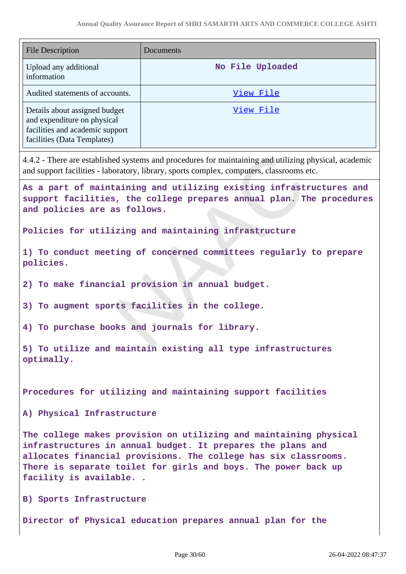| <b>File Description</b>                                                                                                        | Documents                                                                                                                                                                                                                                                             |
|--------------------------------------------------------------------------------------------------------------------------------|-----------------------------------------------------------------------------------------------------------------------------------------------------------------------------------------------------------------------------------------------------------------------|
| Upload any additional<br>information                                                                                           | No File Uploaded                                                                                                                                                                                                                                                      |
| Audited statements of accounts.                                                                                                | View File                                                                                                                                                                                                                                                             |
| Details about assigned budget<br>and expenditure on physical<br>facilities and academic support<br>facilities (Data Templates) | View File                                                                                                                                                                                                                                                             |
|                                                                                                                                | 4.4.2 - There are established systems and procedures for maintaining and utilizing physical, academic<br>and support facilities - laboratory, library, sports complex, computers, classrooms etc.                                                                     |
| and policies are as follows.                                                                                                   | As a part of maintaining and utilizing existing infrastructures and<br>support facilities, the college prepares annual plan. The procedures                                                                                                                           |
|                                                                                                                                | Policies for utilizing and maintaining infrastructure                                                                                                                                                                                                                 |
| policies.                                                                                                                      | 1) To conduct meeting of concerned committees regularly to prepare                                                                                                                                                                                                    |
|                                                                                                                                | 2) To make financial provision in annual budget.                                                                                                                                                                                                                      |
|                                                                                                                                | 3) To augment sports facilities in the college.                                                                                                                                                                                                                       |
|                                                                                                                                | 4) To purchase books and journals for library.                                                                                                                                                                                                                        |
| optimally.                                                                                                                     | 5) To utilize and maintain existing all type infrastructures                                                                                                                                                                                                          |
|                                                                                                                                | Procedures for utilizing and maintaining support facilities                                                                                                                                                                                                           |
| A) Physical Infrastructure                                                                                                     |                                                                                                                                                                                                                                                                       |
| facility is available                                                                                                          | The college makes provision on utilizing and maintaining physical<br>infrastructures in annual budget. It prepares the plans and<br>allocates financial provisions. The college has six classrooms.<br>There is separate toilet for girls and boys. The power back up |
| B) Sports Infrastructure                                                                                                       |                                                                                                                                                                                                                                                                       |
|                                                                                                                                | Director of Physical education prepares annual plan for the                                                                                                                                                                                                           |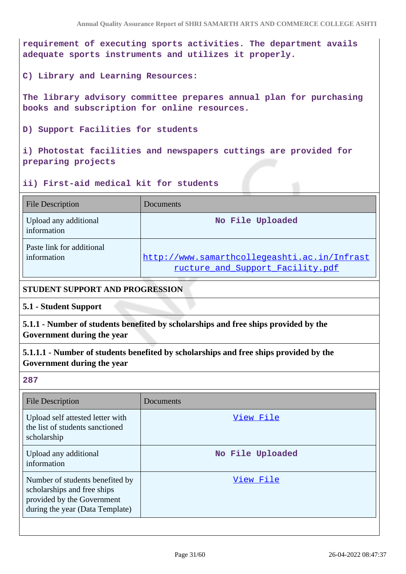**requirement of executing sports activities. The department avails adequate sports instruments and utilizes it properly.**

**C) Library and Learning Resources:**

**The library advisory committee prepares annual plan for purchasing books and subscription for online resources.**

**D) Support Facilities for students**

**i) Photostat facilities and newspapers cuttings are provided for preparing projects**

#### **ii) First-aid medical kit for students**

| <b>File Description</b>                  | Documents                                                                        |
|------------------------------------------|----------------------------------------------------------------------------------|
| Upload any additional<br>information     | No File Uploaded                                                                 |
| Paste link for additional<br>information | http://www.samarthcollegeashti.ac.in/Infrast<br>ructure_and_Support_Facility.pdf |

#### **STUDENT SUPPORT AND PROGRESSION**

**5.1 - Student Support**

**5.1.1 - Number of students benefited by scholarships and free ships provided by the Government during the year**

**5.1.1.1 - Number of students benefited by scholarships and free ships provided by the Government during the year**

**287**

| <b>File Description</b>                                                                                                         | Documents        |
|---------------------------------------------------------------------------------------------------------------------------------|------------------|
| Upload self attested letter with<br>the list of students sanctioned<br>scholarship                                              | View File        |
| Upload any additional<br>information                                                                                            | No File Uploaded |
| Number of students benefited by<br>scholarships and free ships<br>provided by the Government<br>during the year (Data Template) | View File        |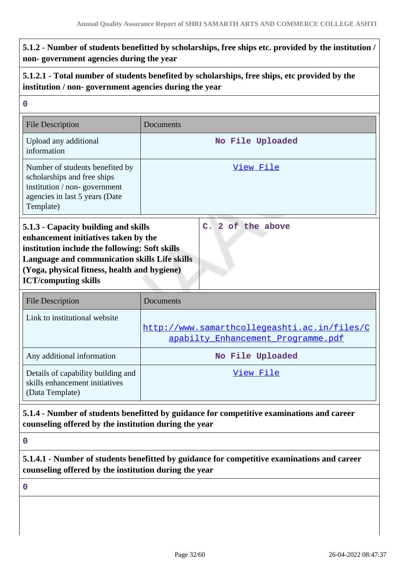## **5.1.2 - Number of students benefitted by scholarships, free ships etc. provided by the institution / non- government agencies during the year**

## **5.1.2.1 - Total number of students benefited by scholarships, free ships, etc provided by the institution / non- government agencies during the year**

| $\mathbf 0$                                                                                                                                                                                                                                                    |                                                                                             |
|----------------------------------------------------------------------------------------------------------------------------------------------------------------------------------------------------------------------------------------------------------------|---------------------------------------------------------------------------------------------|
| <b>File Description</b>                                                                                                                                                                                                                                        | Documents                                                                                   |
| Upload any additional<br>information                                                                                                                                                                                                                           | No File Uploaded                                                                            |
| Number of students benefited by<br>scholarships and free ships<br>institution / non-government<br>agencies in last 5 years (Date<br>Template)                                                                                                                  | View File                                                                                   |
| 5.1.3 - Capacity building and skills<br>enhancement initiatives taken by the<br>institution include the following: Soft skills<br>Language and communication skills Life skills<br>(Yoga, physical fitness, health and hygiene)<br><b>ICT/computing skills</b> | C. 2 of the above                                                                           |
| <b>File Description</b>                                                                                                                                                                                                                                        | Documents                                                                                   |
| Link to institutional website                                                                                                                                                                                                                                  | http://www.samarthcollegeashti.ac.in/files/C<br>apabilty Enhancement Programme.pdf          |
| Any additional information                                                                                                                                                                                                                                     | No File Uploaded                                                                            |
| Details of capability building and<br>skills enhancement initiatives<br>(Data Template)                                                                                                                                                                        | View File                                                                                   |
| counseling offered by the institution during the year                                                                                                                                                                                                          | 5.1.4 - Number of students benefitted by guidance for competitive examinations and career   |
| $\bf{0}$                                                                                                                                                                                                                                                       |                                                                                             |
|                                                                                                                                                                                                                                                                | 5.1.4.1 - Number of students benefitted by guidance for competitive examinations and career |

**0**

**counseling offered by the institution during the year**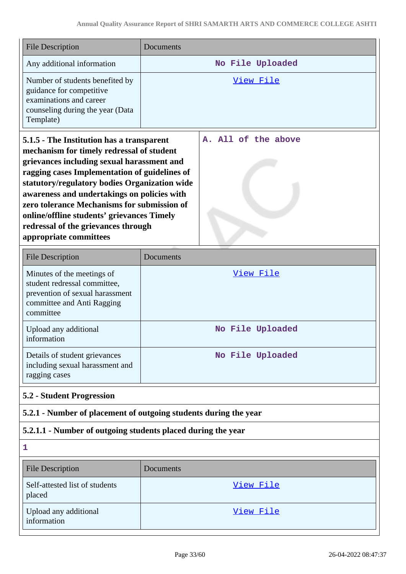| <b>File Description</b>                                                                                                                                                                                                                                                                                                                                                                                                                             | Documents                                                        |
|-----------------------------------------------------------------------------------------------------------------------------------------------------------------------------------------------------------------------------------------------------------------------------------------------------------------------------------------------------------------------------------------------------------------------------------------------------|------------------------------------------------------------------|
| Any additional information                                                                                                                                                                                                                                                                                                                                                                                                                          | No File Uploaded                                                 |
| Number of students benefited by<br>guidance for competitive<br>examinations and career<br>counseling during the year (Data<br>Template)                                                                                                                                                                                                                                                                                                             | <u>View File</u>                                                 |
| 5.1.5 - The Institution has a transparent<br>mechanism for timely redressal of student<br>grievances including sexual harassment and<br>ragging cases Implementation of guidelines of<br>statutory/regulatory bodies Organization wide<br>awareness and undertakings on policies with<br>zero tolerance Mechanisms for submission of<br>online/offline students' grievances Timely<br>redressal of the grievances through<br>appropriate committees | A. All of the above                                              |
| <b>File Description</b>                                                                                                                                                                                                                                                                                                                                                                                                                             | Documents                                                        |
| Minutes of the meetings of<br>student redressal committee,<br>prevention of sexual harassment<br>committee and Anti Ragging<br>committee                                                                                                                                                                                                                                                                                                            | View File                                                        |
| Upload any additional<br>information                                                                                                                                                                                                                                                                                                                                                                                                                | No File Uploaded                                                 |
| Details of student grievances<br>including sexual harassment and<br>ragging cases                                                                                                                                                                                                                                                                                                                                                                   | No File Uploaded                                                 |
| <b>5.2 - Student Progression</b>                                                                                                                                                                                                                                                                                                                                                                                                                    |                                                                  |
|                                                                                                                                                                                                                                                                                                                                                                                                                                                     | 5.2.1 - Number of placement of outgoing students during the year |
| 5.2.1.1 - Number of outgoing students placed during the year                                                                                                                                                                                                                                                                                                                                                                                        |                                                                  |
| 1                                                                                                                                                                                                                                                                                                                                                                                                                                                   |                                                                  |
| <b>File Description</b>                                                                                                                                                                                                                                                                                                                                                                                                                             | Documents                                                        |
| Self-attested list of students<br>placed                                                                                                                                                                                                                                                                                                                                                                                                            | <u>View File</u>                                                 |
| Upload any additional<br>information                                                                                                                                                                                                                                                                                                                                                                                                                | View File                                                        |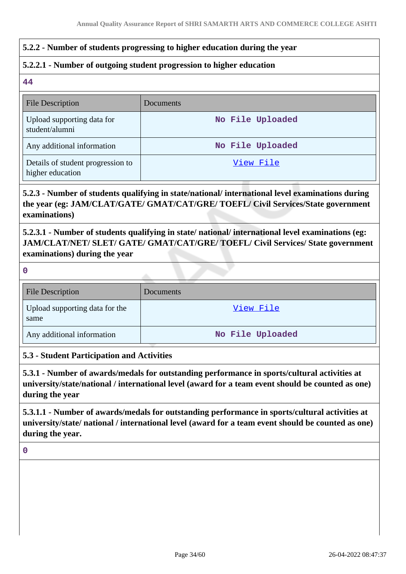## **5.2.2 - Number of students progressing to higher education during the year**

## **5.2.2.1 - Number of outgoing student progression to higher education**

**44**

| <b>File Description</b>                               | <b>Documents</b> |
|-------------------------------------------------------|------------------|
| Upload supporting data for<br>student/alumni          | No File Uploaded |
| Any additional information                            | No File Uploaded |
| Details of student progression to<br>higher education | View File        |

## **5.2.3 - Number of students qualifying in state/national/ international level examinations during the year (eg: JAM/CLAT/GATE/ GMAT/CAT/GRE/ TOEFL/ Civil Services/State government examinations)**

**5.2.3.1 - Number of students qualifying in state/ national/ international level examinations (eg: JAM/CLAT/NET/ SLET/ GATE/ GMAT/CAT/GRE/ TOEFL/ Civil Services/ State government examinations) during the year**

| 27      |  |
|---------|--|
|         |  |
|         |  |
|         |  |
| c<br>۰. |  |

| <b>File Description</b>                | Documents        |
|----------------------------------------|------------------|
| Upload supporting data for the<br>same | View File        |
| Any additional information             | No File Uploaded |

#### **5.3 - Student Participation and Activities**

**5.3.1 - Number of awards/medals for outstanding performance in sports/cultural activities at university/state/national / international level (award for a team event should be counted as one) during the year**

**5.3.1.1 - Number of awards/medals for outstanding performance in sports/cultural activities at university/state/ national / international level (award for a team event should be counted as one) during the year.**

#### **0**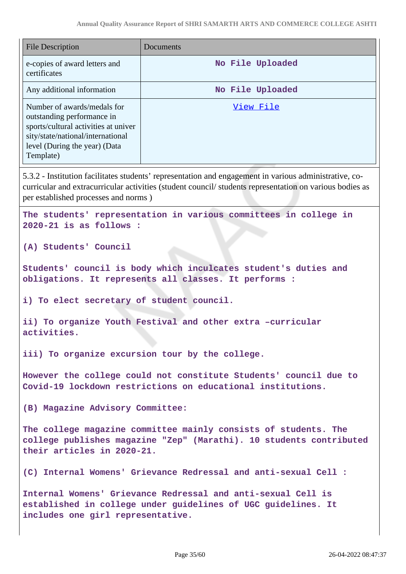| File Description                                                                                                                                                                     | Documents        |
|--------------------------------------------------------------------------------------------------------------------------------------------------------------------------------------|------------------|
| e-copies of award letters and<br>certificates                                                                                                                                        | No File Uploaded |
| Any additional information                                                                                                                                                           | No File Uploaded |
| Number of awards/medals for<br>outstanding performance in<br>sports/cultural activities at univer<br>sity/state/national/international<br>level (During the year) (Data<br>Template) | View File        |

5.3.2 - Institution facilitates students' representation and engagement in various administrative, cocurricular and extracurricular activities (student council/ students representation on various bodies as per established processes and norms )

**The students' representation in various committees in college in 2020-21 is as follows :**

**(A) Students' Council** 

**Students' council is body which inculcates student's duties and obligations. It represents all classes. It performs :**

**i) To elect secretary of student council.**

**ii) To organize Youth Festival and other extra –curricular activities.**

**iii) To organize excursion tour by the college.**

**However the college could not constitute Students' council due to Covid-19 lockdown restrictions on educational institutions.**

**(B) Magazine Advisory Committee:**

**The college magazine committee mainly consists of students. The college publishes magazine "Zep" (Marathi). 10 students contributed their articles in 2020-21.**

**(C) Internal Womens' Grievance Redressal and anti-sexual Cell :** 

**Internal Womens' Grievance Redressal and anti-sexual Cell is established in college under guidelines of UGC guidelines. It includes one girl representative.**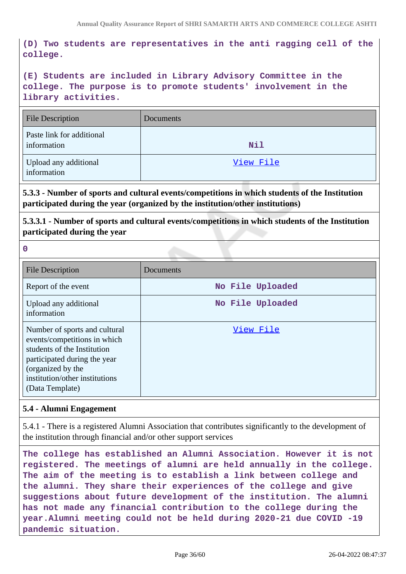**(D) Two students are representatives in the anti ragging cell of the college.**

**(E) Students are included in Library Advisory Committee in the college. The purpose is to promote students' involvement in the library activities.**

| <b>File Description</b>                  | Documents |
|------------------------------------------|-----------|
| Paste link for additional<br>information | Nil       |
| Upload any additional<br>information     | View File |

**5.3.3 - Number of sports and cultural events/competitions in which students of the Institution participated during the year (organized by the institution/other institutions)**

**5.3.3.1 - Number of sports and cultural events/competitions in which students of the Institution participated during the year**

**0**

| <b>File Description</b>                                                                                                                                                                                | Documents        |
|--------------------------------------------------------------------------------------------------------------------------------------------------------------------------------------------------------|------------------|
| Report of the event                                                                                                                                                                                    | No File Uploaded |
| Upload any additional<br>information                                                                                                                                                                   | No File Uploaded |
| Number of sports and cultural<br>events/competitions in which<br>students of the Institution<br>participated during the year<br>(organized by the<br>institution/other institutions<br>(Data Template) | View File        |

#### **5.4 - Alumni Engagement**

5.4.1 - There is a registered Alumni Association that contributes significantly to the development of the institution through financial and/or other support services

**The college has established an Alumni Association. However it is not registered. The meetings of alumni are held annually in the college. The aim of the meeting is to establish a link between college and the alumni. They share their experiences of the college and give suggestions about future development of the institution. The alumni has not made any financial contribution to the college during the year.Alumni meeting could not be held during 2020-21 due COVID -19 pandemic situation.**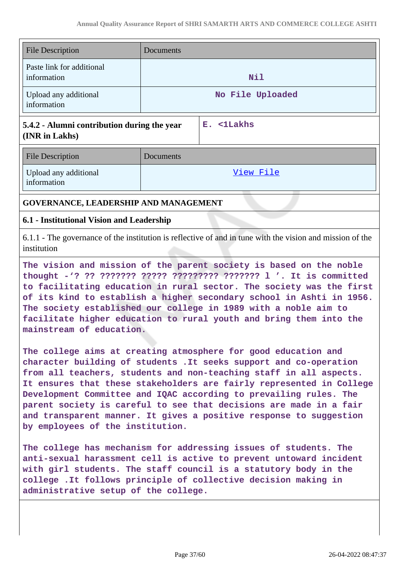| <b>File Description</b>                                       | Documents |                  |
|---------------------------------------------------------------|-----------|------------------|
| Paste link for additional<br>information                      |           | Nil              |
| Upload any additional<br>information                          |           | No File Uploaded |
| 5.4.2 - Alumni contribution during the year<br>(INR in Lakhs) |           | E. <1Lakhs       |
| <b>File Description</b>                                       | Documents |                  |
| Upload any additional<br>information                          |           | View File        |
| GOVERNANCE, LEADERSHIP AND MANAGEMENT                         |           |                  |

#### **6.1 - Institutional Vision and Leadership**

6.1.1 - The governance of the institution is reflective of and in tune with the vision and mission of the institution

**The vision and mission of the parent society is based on the noble thought -'? ?? ??????? ????? ????????? ??????? l '. It is committed to facilitating education in rural sector. The society was the first of its kind to establish a higher secondary school in Ashti in 1956. The society established our college in 1989 with a noble aim to facilitate higher education to rural youth and bring them into the mainstream of education.**

**The college aims at creating atmosphere for good education and character building of students .It seeks support and co-operation from all teachers, students and non-teaching staff in all aspects. It ensures that these stakeholders are fairly represented in College Development Committee and IQAC according to prevailing rules. The parent society is careful to see that decisions are made in a fair and transparent manner. It gives a positive response to suggestion by employees of the institution.**

**The college has mechanism for addressing issues of students. The anti-sexual harassment cell is active to prevent untoward incident with girl students. The staff council is a statutory body in the college .It follows principle of collective decision making in administrative setup of the college.**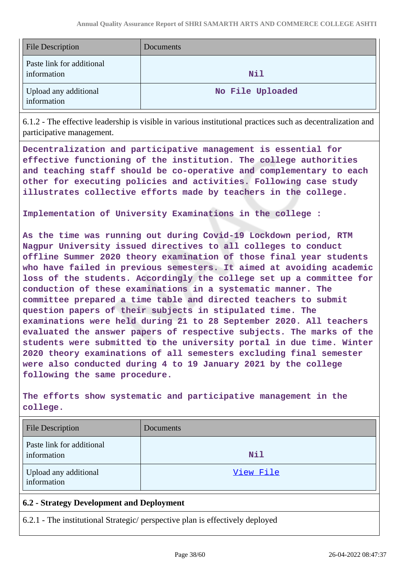| <b>File Description</b>                  | <b>Documents</b> |
|------------------------------------------|------------------|
| Paste link for additional<br>information | Nil              |
| Upload any additional<br>information     | No File Uploaded |

6.1.2 - The effective leadership is visible in various institutional practices such as decentralization and participative management.

**Decentralization and participative management is essential for effective functioning of the institution. The college authorities and teaching staff should be co-operative and complementary to each other for executing policies and activities. Following case study illustrates collective efforts made by teachers in the college.**

**Implementation of University Examinations in the college :**

**As the time was running out during Covid-19 Lockdown period, RTM Nagpur University issued directives to all colleges to conduct offline Summer 2020 theory examination of those final year students who have failed in previous semesters. It aimed at avoiding academic loss of the students. Accordingly the college set up a committee for conduction of these examinations in a systematic manner. The committee prepared a time table and directed teachers to submit question papers of their subjects in stipulated time. The examinations were held during 21 to 28 September 2020. All teachers evaluated the answer papers of respective subjects. The marks of the students were submitted to the university portal in due time. Winter 2020 theory examinations of all semesters excluding final semester were also conducted during 4 to 19 January 2021 by the college following the same procedure.**

**The efforts show systematic and participative management in the college.**

| <b>File Description</b>                  | Documents |
|------------------------------------------|-----------|
| Paste link for additional<br>information | Nil       |
| Upload any additional<br>information     | View File |

## **6.2 - Strategy Development and Deployment**

6.2.1 - The institutional Strategic/ perspective plan is effectively deployed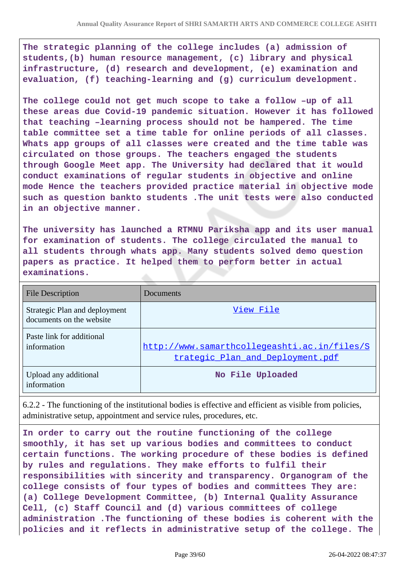**The strategic planning of the college includes (a) admission of students,(b) human resource management, (c) library and physical infrastructure, (d) research and development, (e) examination and evaluation, (f) teaching-learning and (g) curriculum development.**

**The college could not get much scope to take a follow –up of all these areas due Covid-19 pandemic situation. However it has followed that teaching –learning process should not be hampered. The time table committee set a time table for online periods of all classes. Whats app groups of all classes were created and the time table was circulated on those groups. The teachers engaged the students through Google Meet app. The University had declared that it would conduct examinations of regular students in objective and online mode Hence the teachers provided practice material in objective mode such as question bankto students .The unit tests were also conducted in an objective manner.**

**The university has launched a RTMNU Pariksha app and its user manual for examination of students. The college circulated the manual to all students through whats app. Many students solved demo question papers as practice. It helped them to perform better in actual examinations.**

| <b>File Description</b>                                   | Documents                                                                        |
|-----------------------------------------------------------|----------------------------------------------------------------------------------|
| Strategic Plan and deployment<br>documents on the website | View File                                                                        |
| Paste link for additional<br>information                  | http://www.samarthcollegeashti.ac.in/files/S<br>trategic Plan and Deployment.pdf |
| Upload any additional<br>information                      | No File Uploaded                                                                 |

6.2.2 - The functioning of the institutional bodies is effective and efficient as visible from policies, administrative setup, appointment and service rules, procedures, etc.

**In order to carry out the routine functioning of the college smoothly, it has set up various bodies and committees to conduct certain functions. The working procedure of these bodies is defined by rules and regulations. They make efforts to fulfil their responsibilities with sincerity and transparency. Organogram of the college consists of four types of bodies and committees They are: (a) College Development Committee, (b) Internal Quality Assurance Cell, (c) Staff Council and (d) various committees of college administration .The functioning of these bodies is coherent with the policies and it reflects in administrative setup of the college. The**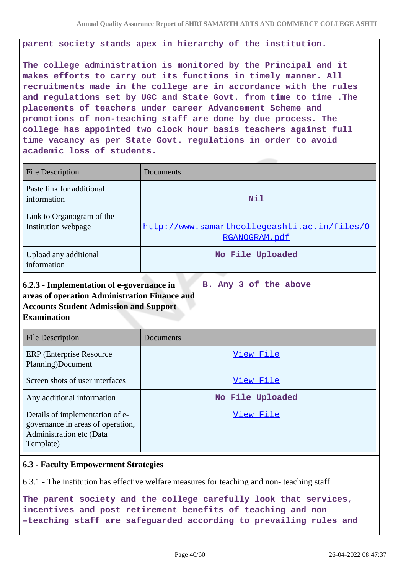**parent society stands apex in hierarchy of the institution.**

**The college administration is monitored by the Principal and it makes efforts to carry out its functions in timely manner. All recruitments made in the college are in accordance with the rules and regulations set by UGC and State Govt. from time to time .The placements of teachers under career Advancement Scheme and promotions of non-teaching staff are done by due process. The college has appointed two clock hour basis teachers against full time vacancy as per State Govt. regulations in order to avoid academic loss of students.**

| <b>File Description</b>                                                                                                                                                                      | Documents                                                     |
|----------------------------------------------------------------------------------------------------------------------------------------------------------------------------------------------|---------------------------------------------------------------|
| Paste link for additional<br>information                                                                                                                                                     | <b>Nil</b>                                                    |
| Link to Organogram of the<br>Institution webpage                                                                                                                                             | http://www.samarthcollegeashti.ac.in/files/0<br>RGANOGRAM.pdf |
| Upload any additional<br>information                                                                                                                                                         | No File Uploaded                                              |
| 6.2.3 - Implementation of e-governance in<br>areas of operation Administration Finance and<br><b>Accounts Student Admission and Support</b><br><b>Examination</b><br><b>File Description</b> | B. Any 3 of the above<br>Documents                            |
| <b>ERP</b> (Enterprise Resource<br>Planning)Document                                                                                                                                         | View File                                                     |
| Screen shots of user interfaces                                                                                                                                                              | View File                                                     |
| Any additional information                                                                                                                                                                   | No File Uploaded                                              |
| Details of implementation of e-<br>governance in areas of operation,<br>Administration etc (Data<br>Template)                                                                                | View File                                                     |

#### **6.3 - Faculty Empowerment Strategies**

6.3.1 - The institution has effective welfare measures for teaching and non- teaching staff

**The parent society and the college carefully look that services, incentives and post retirement benefits of teaching and non –teaching staff are safeguarded according to prevailing rules and**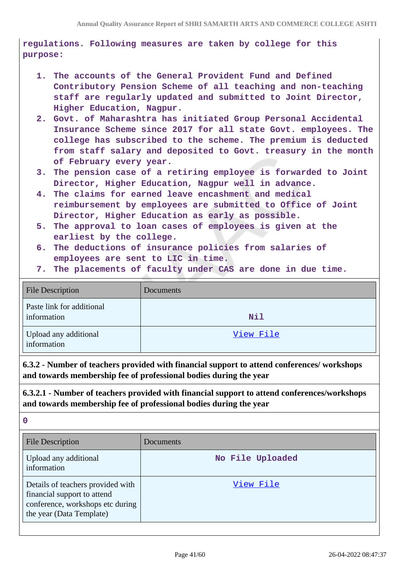**regulations. Following measures are taken by college for this purpose:**

- **1. The accounts of the General Provident Fund and Defined Contributory Pension Scheme of all teaching and non-teaching staff are regularly updated and submitted to Joint Director, Higher Education, Nagpur.**
- **2. Govt. of Maharashtra has initiated Group Personal Accidental Insurance Scheme since 2017 for all state Govt. employees. The college has subscribed to the scheme. The premium is deducted from staff salary and deposited to Govt. treasury in the month of February every year.**
- **3. The pension case of a retiring employee is forwarded to Joint Director, Higher Education, Nagpur well in advance.**
- **4. The claims for earned leave encashment and medical reimbursement by employees are submitted to Office of Joint Director, Higher Education as early as possible.**
- **5. The approval to loan cases of employees is given at the earliest by the college.**
- **6. The deductions of insurance policies from salaries of employees are sent to LIC in time.**
- **7. The placements of faculty under CAS are done in due time.**

| <b>File Description</b>                  | Documents |
|------------------------------------------|-----------|
| Paste link for additional<br>information | Nil       |
| Upload any additional<br>information     | View File |

**6.3.2 - Number of teachers provided with financial support to attend conferences/ workshops and towards membership fee of professional bodies during the year**

**6.3.2.1 - Number of teachers provided with financial support to attend conferences/workshops and towards membership fee of professional bodies during the year**

**0**

| <b>File Description</b>                                                                                                          | Documents        |
|----------------------------------------------------------------------------------------------------------------------------------|------------------|
| Upload any additional<br>information                                                                                             | No File Uploaded |
| Details of teachers provided with<br>financial support to attend<br>conference, workshops etc during<br>the year (Data Template) | View File        |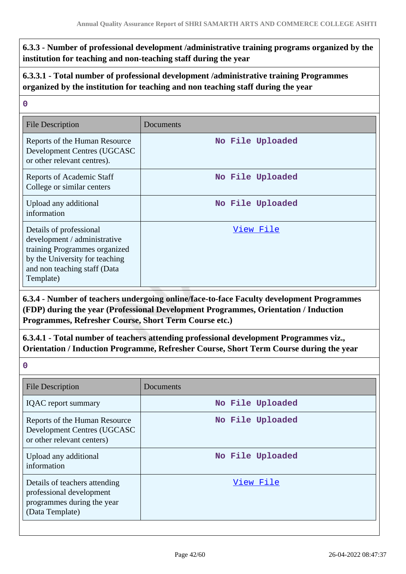**6.3.3 - Number of professional development /administrative training programs organized by the institution for teaching and non-teaching staff during the year**

**6.3.3.1 - Total number of professional development /administrative training Programmes organized by the institution for teaching and non teaching staff during the year**

| 0                                                                                                                                                                       |                  |  |
|-------------------------------------------------------------------------------------------------------------------------------------------------------------------------|------------------|--|
| <b>File Description</b>                                                                                                                                                 | Documents        |  |
| Reports of the Human Resource<br>Development Centres (UGCASC<br>or other relevant centres).                                                                             | No File Uploaded |  |
| Reports of Academic Staff<br>College or similar centers                                                                                                                 | No File Uploaded |  |
| Upload any additional<br>information                                                                                                                                    | No File Uploaded |  |
| Details of professional<br>development / administrative<br>training Programmes organized<br>by the University for teaching<br>and non teaching staff (Data<br>Template) | View File        |  |

**6.3.4 - Number of teachers undergoing online/face-to-face Faculty development Programmes (FDP) during the year (Professional Development Programmes, Orientation / Induction Programmes, Refresher Course, Short Term Course etc.)**

**6.3.4.1 - Total number of teachers attending professional development Programmes viz., Orientation / Induction Programme, Refresher Course, Short Term Course during the year**

**0**

| <b>File Description</b>                                                                                    | Documents        |
|------------------------------------------------------------------------------------------------------------|------------------|
| <b>IQAC</b> report summary                                                                                 | No File Uploaded |
| Reports of the Human Resource<br>Development Centres (UGCASC<br>or other relevant centers)                 | No File Uploaded |
| Upload any additional<br>information                                                                       | No File Uploaded |
| Details of teachers attending<br>professional development<br>programmes during the year<br>(Data Template) | View File        |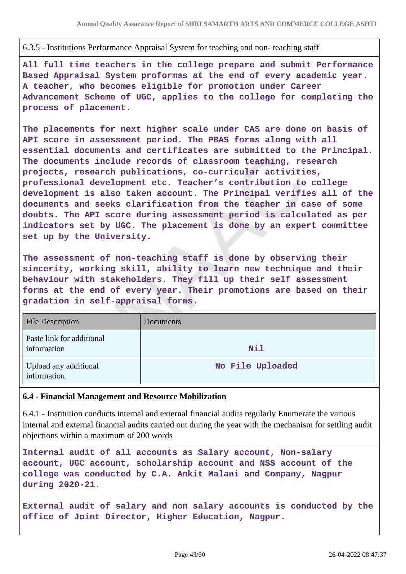#### 6.3.5 - Institutions Performance Appraisal System for teaching and non- teaching staff

**All full time teachers in the college prepare and submit Performance Based Appraisal System proformas at the end of every academic year. A teacher, who becomes eligible for promotion under Career Advancement Scheme of UGC, applies to the college for completing the process of placement.**

**The placements for next higher scale under CAS are done on basis of API score in assessment period. The PBAS forms along with all essential documents and certificates are submitted to the Principal. The documents include records of classroom teaching, research projects, research publications, co-curricular activities, professional development etc. Teacher's contribution to college development is also taken account. The Principal verifies all of the documents and seeks clarification from the teacher in case of some doubts. The API score during assessment period is calculated as per indicators set by UGC. The placement is done by an expert committee set up by the University.**

**The assessment of non-teaching staff is done by observing their sincerity, working skill, ability to learn new technique and their behaviour with stakeholders. They fill up their self assessment forms at the end of every year. Their promotions are based on their gradation in self-appraisal forms.**

| <b>File Description</b>                  | Documents        |
|------------------------------------------|------------------|
| Paste link for additional<br>information | <b>Nil</b>       |
| Upload any additional<br>information     | No File Uploaded |

#### **6.4 - Financial Management and Resource Mobilization**

6.4.1 - Institution conducts internal and external financial audits regularly Enumerate the various internal and external financial audits carried out during the year with the mechanism for settling audit objections within a maximum of 200 words

```
Internal audit of all accounts as Salary account, Non-salary
account, UGC account, scholarship account and NSS account of the
college was conducted by C.A. Ankit Malani and Company, Nagpur
during 2020-21.
```
**External audit of salary and non salary accounts is conducted by the office of Joint Director, Higher Education, Nagpur.**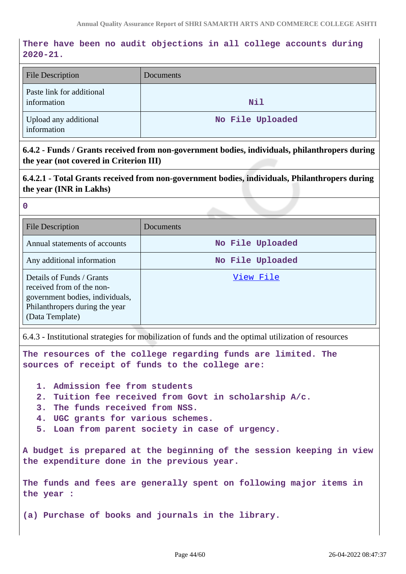## **There have been no audit objections in all college accounts during 2020-21.**

| <b>File Description</b>                  | Documents        |
|------------------------------------------|------------------|
| Paste link for additional<br>information | Nil              |
| Upload any additional<br>information     | No File Uploaded |

**6.4.2 - Funds / Grants received from non-government bodies, individuals, philanthropers during the year (not covered in Criterion III)**

**6.4.2.1 - Total Grants received from non-government bodies, individuals, Philanthropers during the year (INR in Lakhs)**

**0**

| <b>File Description</b>                                                                                                                        | Documents        |
|------------------------------------------------------------------------------------------------------------------------------------------------|------------------|
| Annual statements of accounts                                                                                                                  | No File Uploaded |
| Any additional information                                                                                                                     | No File Uploaded |
| Details of Funds / Grants<br>received from of the non-<br>government bodies, individuals,<br>Philanthropers during the year<br>(Data Template) | View File        |

6.4.3 - Institutional strategies for mobilization of funds and the optimal utilization of resources

**The resources of the college regarding funds are limited. The sources of receipt of funds to the college are:**

- **1. Admission fee from students**
- **2. Tuition fee received from Govt in scholarship A/c.**
- **3. The funds received from NSS.**
- **4. UGC grants for various schemes.**
- **5. Loan from parent society in case of urgency.**

**A budget is prepared at the beginning of the session keeping in view the expenditure done in the previous year.**

**The funds and fees are generally spent on following major items in the year :**

**(a) Purchase of books and journals in the library.**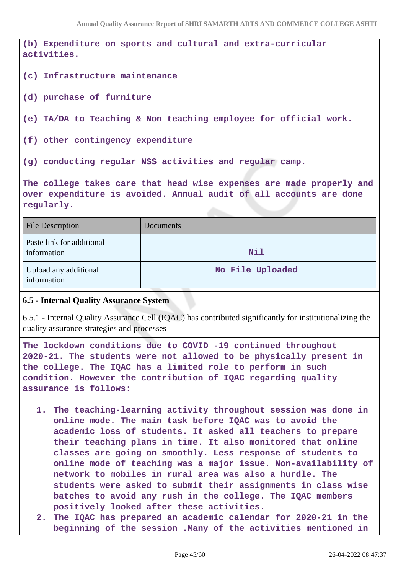**(b) Expenditure on sports and cultural and extra-curricular activities.**

- **(c) Infrastructure maintenance**
- **(d) purchase of furniture**
- **(e) TA/DA to Teaching & Non teaching employee for official work.**
- **(f) other contingency expenditure**
- **(g) conducting regular NSS activities and regular camp.**

**The college takes care that head wise expenses are made properly and over expenditure is avoided. Annual audit of all accounts are done regularly.**

| <b>File Description</b>                  | Documents        |
|------------------------------------------|------------------|
| Paste link for additional<br>information | Nil              |
| Upload any additional<br>information     | No File Uploaded |

#### **6.5 - Internal Quality Assurance System**

6.5.1 - Internal Quality Assurance Cell (IQAC) has contributed significantly for institutionalizing the quality assurance strategies and processes

**The lockdown conditions due to COVID -19 continued throughout 2020-21. The students were not allowed to be physically present in the college. The IQAC has a limited role to perform in such condition. However the contribution of IQAC regarding quality assurance is follows:**

- **1. The teaching-learning activity throughout session was done in online mode. The main task before IQAC was to avoid the academic loss of students. It asked all teachers to prepare their teaching plans in time. It also monitored that online classes are going on smoothly. Less response of students to online mode of teaching was a major issue. Non-availability of network to mobiles in rural area was also a hurdle. The students were asked to submit their assignments in class wise batches to avoid any rush in the college. The IQAC members positively looked after these activities.**
- **2. The IQAC has prepared an academic calendar for 2020-21 in the beginning of the session .Many of the activities mentioned in**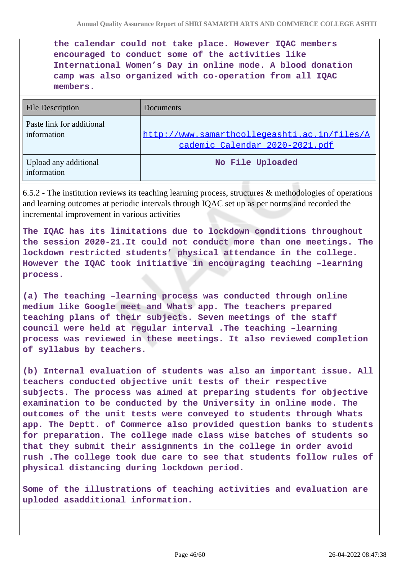**the calendar could not take place. However IQAC members encouraged to conduct some of the activities like International Women's Day in online mode. A blood donation camp was also organized with co-operation from all IQAC members.**

| <b>File Description</b>                  | Documents                                                                      |
|------------------------------------------|--------------------------------------------------------------------------------|
| Paste link for additional<br>information | http://www.samarthcollegeashti.ac.in/files/A<br>cademic Calendar 2020-2021.pdf |
| Upload any additional<br>information     | No File Uploaded                                                               |

6.5.2 - The institution reviews its teaching learning process, structures & methodologies of operations and learning outcomes at periodic intervals through IQAC set up as per norms and recorded the incremental improvement in various activities

**The IQAC has its limitations due to lockdown conditions throughout the session 2020-21.It could not conduct more than one meetings. The lockdown restricted students' physical attendance in the college. However the IQAC took initiative in encouraging teaching –learning process.**

**(a) The teaching –learning process was conducted through online medium like Google meet and Whats app. The teachers prepared teaching plans of their subjects. Seven meetings of the staff council were held at regular interval .The teaching –learning process was reviewed in these meetings. It also reviewed completion of syllabus by teachers.**

**(b) Internal evaluation of students was also an important issue. All teachers conducted objective unit tests of their respective subjects. The process was aimed at preparing students for objective examination to be conducted by the University in online mode. The outcomes of the unit tests were conveyed to students through Whats app. The Deptt. of Commerce also provided question banks to students for preparation. The college made class wise batches of students so that they submit their assignments in the college in order avoid rush .The college took due care to see that students follow rules of physical distancing during lockdown period.**

**Some of the illustrations of teaching activities and evaluation are uploded asadditional information.**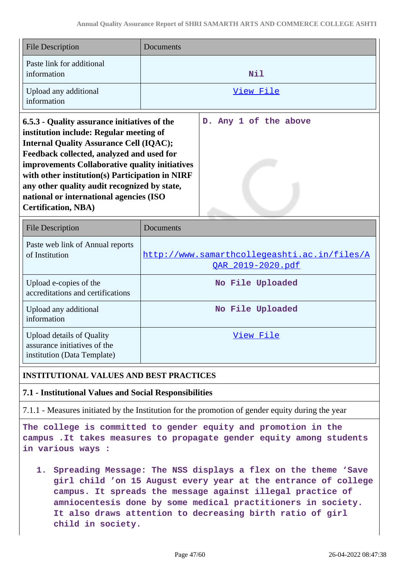| File Description                                                                                                                          | Documents             |
|-------------------------------------------------------------------------------------------------------------------------------------------|-----------------------|
| Paste link for additional<br>information                                                                                                  | Nil                   |
| Upload any additional<br>information                                                                                                      | View File             |
| 6.5.3 - Quality assurance initiatives of the<br>institution include: Regular meeting of<br><b>Internal Quality Assurance Cell (IQAC);</b> | D. Any 1 of the above |

**Feedback collected, analyzed and used for improvements Collaborative quality initiatives with other institution(s) Participation in NIRF any other quality audit recognized by state, national or international agencies (ISO Certification, NBA)**

| <b>File Description</b>                                                                  | Documents                                                         |
|------------------------------------------------------------------------------------------|-------------------------------------------------------------------|
| Paste web link of Annual reports<br>of Institution                                       | http://www.samarthcollegeashti.ac.in/files/A<br>OAR 2019-2020.pdf |
| Upload e-copies of the<br>accreditations and certifications                              | No File Uploaded                                                  |
| Upload any additional<br>information                                                     | No File Uploaded                                                  |
| Upload details of Quality<br>assurance initiatives of the<br>institution (Data Template) | View File                                                         |

## **INSTITUTIONAL VALUES AND BEST PRACTICES**

**7.1 - Institutional Values and Social Responsibilities**

7.1.1 - Measures initiated by the Institution for the promotion of gender equity during the year

**The college is committed to gender equity and promotion in the campus .It takes measures to propagate gender equity among students in various ways :**

**1. Spreading Message: The NSS displays a flex on the theme 'Save girl child 'on 15 August every year at the entrance of college campus. It spreads the message against illegal practice of amniocentesis done by some medical practitioners in society. It also draws attention to decreasing birth ratio of girl child in society.**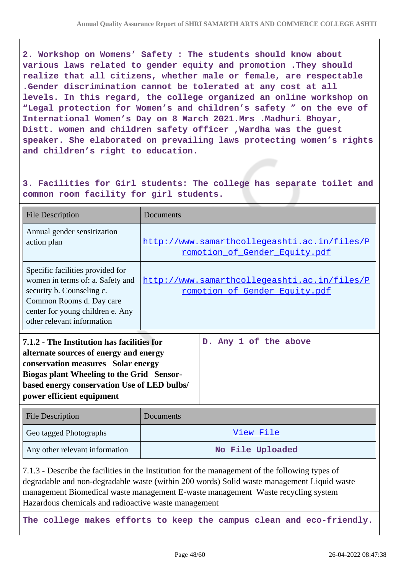**2. Workshop on Womens' Safety : The students should know about various laws related to gender equity and promotion .They should realize that all citizens, whether male or female, are respectable .Gender discrimination cannot be tolerated at any cost at all levels. In this regard, the college organized an online workshop on "Legal protection for Women's and children's safety " on the eve of International Women's Day on 8 March 2021.Mrs .Madhuri Bhoyar, Distt. women and children safety officer ,Wardha was the guest speaker. She elaborated on prevailing laws protecting women's rights and children's right to education.**

**3. Facilities for Girl students: The college has separate toilet and common room facility for girl students.**

| <b>File Description</b>                                                                                                                                                                                                                             | Documents                                                                     |                                                                               |
|-----------------------------------------------------------------------------------------------------------------------------------------------------------------------------------------------------------------------------------------------------|-------------------------------------------------------------------------------|-------------------------------------------------------------------------------|
| Annual gender sensitization<br>action plan                                                                                                                                                                                                          | http://www.samarthcollegeashti.ac.in/files/P<br>romotion of Gender Equity.pdf |                                                                               |
| Specific facilities provided for<br>women in terms of: a. Safety and<br>security b. Counseling c.<br>Common Rooms d. Day care<br>center for young children e. Any<br>other relevant information                                                     |                                                                               | http://www.samarthcollegeashti.ac.in/files/P<br>romotion of Gender Equity.pdf |
| 7.1.2 - The Institution has facilities for<br>alternate sources of energy and energy<br>conservation measures Solar energy<br>Biogas plant Wheeling to the Grid Sensor-<br>based energy conservation Use of LED bulbs/<br>power efficient equipment |                                                                               | D. Any 1 of the above                                                         |
| <b>File Description</b>                                                                                                                                                                                                                             | Documents                                                                     |                                                                               |
| Geo tagged Photographs                                                                                                                                                                                                                              |                                                                               | <u>View File</u>                                                              |

| Any other relevant information | No File Uploaded |
|--------------------------------|------------------|
|--------------------------------|------------------|

7.1.3 - Describe the facilities in the Institution for the management of the following types of degradable and non-degradable waste (within 200 words) Solid waste management Liquid waste management Biomedical waste management E-waste management Waste recycling system Hazardous chemicals and radioactive waste management

**The college makes efforts to keep the campus clean and eco-friendly.**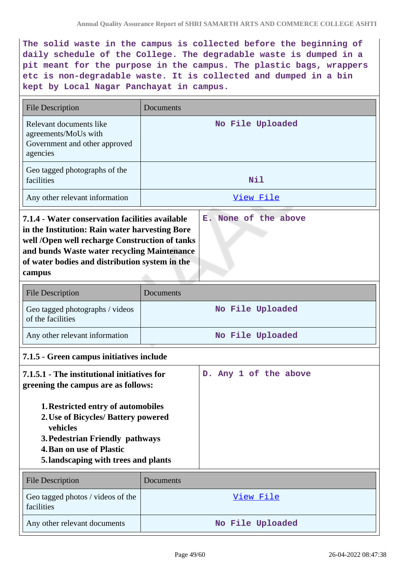**The solid waste in the campus is collected before the beginning of daily schedule of the College. The degradable waste is dumped in a pit meant for the purpose in the campus. The plastic bags, wrappers etc is non-degradable waste. It is collected and dumped in a bin kept by Local Nagar Panchayat in campus.**

| <b>File Description</b>                                                                                                                                                                                                                                                                                           | Documents        |  |
|-------------------------------------------------------------------------------------------------------------------------------------------------------------------------------------------------------------------------------------------------------------------------------------------------------------------|------------------|--|
| Relevant documents like<br>agreements/MoUs with<br>Government and other approved<br>agencies                                                                                                                                                                                                                      | No File Uploaded |  |
| Geo tagged photographs of the<br>facilities                                                                                                                                                                                                                                                                       | Nil              |  |
| Any other relevant information                                                                                                                                                                                                                                                                                    | View File        |  |
| 7.1.4 - Water conservation facilities available<br>E. None of the above<br>in the Institution: Rain water harvesting Bore<br>well /Open well recharge Construction of tanks<br>and bunds Waste water recycling Maintenance<br>of water bodies and distribution system in the<br>campus                            |                  |  |
| <b>File Description</b>                                                                                                                                                                                                                                                                                           | Documents        |  |
| Geo tagged photographs / videos<br>of the facilities                                                                                                                                                                                                                                                              | No File Uploaded |  |
| Any other relevant information                                                                                                                                                                                                                                                                                    | No File Uploaded |  |
| 7.1.5 - Green campus initiatives include                                                                                                                                                                                                                                                                          |                  |  |
| 7.1.5.1 - The institutional initiatives for<br>D. Any 1 of the above<br>greening the campus are as follows:<br>1. Restricted entry of automobiles<br>2. Use of Bicycles/ Battery powered<br>vehicles<br>3. Pedestrian Friendly pathways<br><b>4. Ban on use of Plastic</b><br>5.landscaping with trees and plants |                  |  |
| <b>File Description</b>                                                                                                                                                                                                                                                                                           | Documents        |  |
| Geo tagged photos / videos of the<br>facilities                                                                                                                                                                                                                                                                   | <u>View File</u> |  |
| Any other relevant documents                                                                                                                                                                                                                                                                                      | No File Uploaded |  |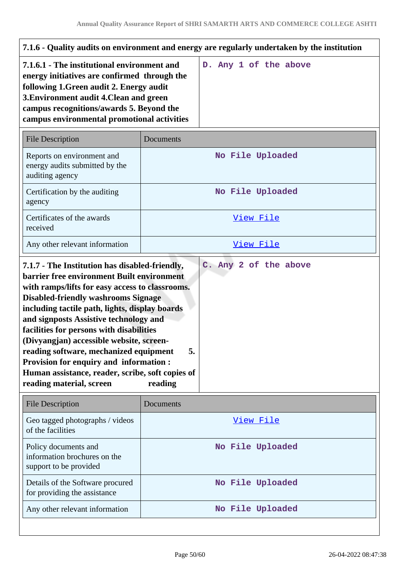| 7.1.6 - Quality audits on environment and energy are regularly undertaken by the institution                                                                                                                                                                                                                                                                                                                                                                                                                          |                  |                       |
|-----------------------------------------------------------------------------------------------------------------------------------------------------------------------------------------------------------------------------------------------------------------------------------------------------------------------------------------------------------------------------------------------------------------------------------------------------------------------------------------------------------------------|------------------|-----------------------|
| 7.1.6.1 - The institutional environment and<br>energy initiatives are confirmed through the<br>following 1. Green audit 2. Energy audit<br>3. Environment audit 4. Clean and green<br>campus recognitions/awards 5. Beyond the<br>campus environmental promotional activities                                                                                                                                                                                                                                         |                  | D. Any 1 of the above |
| <b>File Description</b>                                                                                                                                                                                                                                                                                                                                                                                                                                                                                               | Documents        |                       |
| Reports on environment and<br>energy audits submitted by the<br>auditing agency                                                                                                                                                                                                                                                                                                                                                                                                                                       |                  | No File Uploaded      |
| Certification by the auditing<br>agency                                                                                                                                                                                                                                                                                                                                                                                                                                                                               |                  | No File Uploaded      |
| Certificates of the awards<br>received                                                                                                                                                                                                                                                                                                                                                                                                                                                                                |                  | View File             |
| Any other relevant information                                                                                                                                                                                                                                                                                                                                                                                                                                                                                        | View File        |                       |
| barrier free environment Built environment<br>with ramps/lifts for easy access to classrooms.<br><b>Disabled-friendly washrooms Signage</b><br>including tactile path, lights, display boards<br>and signposts Assistive technology and<br>facilities for persons with disabilities<br>(Divyangjan) accessible website, screen-<br>reading software, mechanized equipment<br>5.<br>Provision for enquiry and information :<br>Human assistance, reader, scribe, soft copies of<br>reading material, screen<br>reading |                  |                       |
| <b>File Description</b>                                                                                                                                                                                                                                                                                                                                                                                                                                                                                               | Documents        |                       |
| Geo tagged photographs / videos<br>of the facilities                                                                                                                                                                                                                                                                                                                                                                                                                                                                  |                  | View File             |
| Policy documents and<br>information brochures on the<br>support to be provided                                                                                                                                                                                                                                                                                                                                                                                                                                        |                  | No File Uploaded      |
| Details of the Software procured<br>for providing the assistance                                                                                                                                                                                                                                                                                                                                                                                                                                                      |                  | No File Uploaded      |
| Any other relevant information                                                                                                                                                                                                                                                                                                                                                                                                                                                                                        | No File Uploaded |                       |
|                                                                                                                                                                                                                                                                                                                                                                                                                                                                                                                       |                  |                       |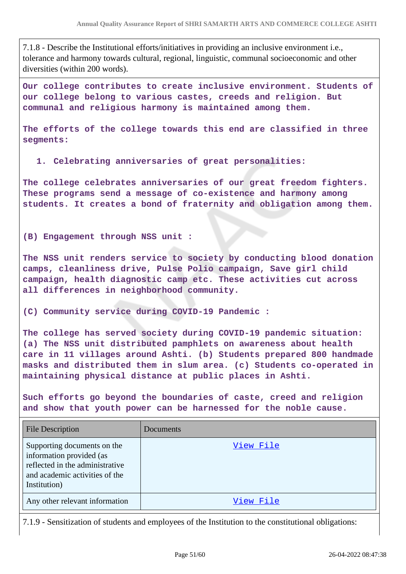7.1.8 - Describe the Institutional efforts/initiatives in providing an inclusive environment i.e., tolerance and harmony towards cultural, regional, linguistic, communal socioeconomic and other diversities (within 200 words).

**Our college contributes to create inclusive environment. Students of our college belong to various castes, creeds and religion. But communal and religious harmony is maintained among them.**

**The efforts of the college towards this end are classified in three segments:**

**1. Celebrating anniversaries of great personalities:**

**The college celebrates anniversaries of our great freedom fighters. These programs send a message of co-existence and harmony among students. It creates a bond of fraternity and obligation among them.**

**(B) Engagement through NSS unit :**

**The NSS unit renders service to society by conducting blood donation camps, cleanliness drive, Pulse Polio campaign, Save girl child campaign, health diagnostic camp etc. These activities cut across all differences in neighborhood community.**

**(C) Community service during COVID-19 Pandemic :**

**The college has served society during COVID-19 pandemic situation: (a) The NSS unit distributed pamphlets on awareness about health care in 11 villages around Ashti. (b) Students prepared 800 handmade masks and distributed them in slum area. (c) Students co-operated in maintaining physical distance at public places in Ashti.**

**Such efforts go beyond the boundaries of caste, creed and religion and show that youth power can be harnessed for the noble cause.**

| <b>File Description</b>                                                                                                                      | Documents |
|----------------------------------------------------------------------------------------------------------------------------------------------|-----------|
| Supporting documents on the<br>information provided (as<br>reflected in the administrative<br>and academic activities of the<br>Institution) | View File |
| Any other relevant information                                                                                                               | View File |

7.1.9 - Sensitization of students and employees of the Institution to the constitutional obligations: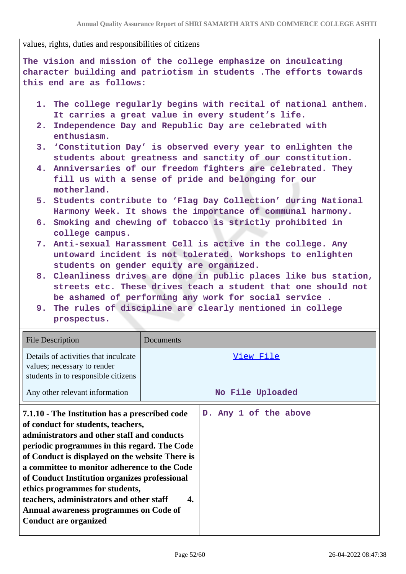values, rights, duties and responsibilities of citizens

| The vision and mission of the college emphasize on inculcating                                                                                                                                                                                                                                                                                                                                      |                  |  |
|-----------------------------------------------------------------------------------------------------------------------------------------------------------------------------------------------------------------------------------------------------------------------------------------------------------------------------------------------------------------------------------------------------|------------------|--|
| character building and patriotism in students . The efforts towards                                                                                                                                                                                                                                                                                                                                 |                  |  |
| this end are as follows:                                                                                                                                                                                                                                                                                                                                                                            |                  |  |
| 1. The college regularly begins with recital of national anthem.<br>It carries a great value in every student's life.<br>Independence Day and Republic Day are celebrated with<br>2.                                                                                                                                                                                                                |                  |  |
| enthusiasm.                                                                                                                                                                                                                                                                                                                                                                                         |                  |  |
| 3. 'Constitution Day' is observed every year to enlighten the<br>students about greatness and sanctity of our constitution.<br>4. Anniversaries of our freedom fighters are celebrated. They<br>fill us with a sense of pride and belonging for our                                                                                                                                                 |                  |  |
| motherland.                                                                                                                                                                                                                                                                                                                                                                                         |                  |  |
| 5. Students contribute to 'Flag Day Collection' during National<br>Harmony Week. It shows the importance of communal harmony.                                                                                                                                                                                                                                                                       |                  |  |
| 6. Smoking and chewing of tobacco is strictly prohibited in<br>college campus.                                                                                                                                                                                                                                                                                                                      |                  |  |
| 7. Anti-sexual Harassment Cell is active in the college. Any<br>untoward incident is not tolerated. Workshops to enlighten<br>students on gender equity are organized.                                                                                                                                                                                                                              |                  |  |
| 8. Cleanliness drives are done in public places like bus station,<br>streets etc. These drives teach a student that one should not<br>be ashamed of performing any work for social service.                                                                                                                                                                                                         |                  |  |
| 9. The rules of discipline are clearly mentioned in college<br>prospectus.                                                                                                                                                                                                                                                                                                                          |                  |  |
| <b>File Description</b>                                                                                                                                                                                                                                                                                                                                                                             | Documents        |  |
| Details of activities that inculcate<br>View File<br>values; necessary to render<br>students in to responsible citizens                                                                                                                                                                                                                                                                             |                  |  |
| Any other relevant information                                                                                                                                                                                                                                                                                                                                                                      | No File Uploaded |  |
| D. Any 1 of the above<br>7.1.10 - The Institution has a prescribed code<br>of conduct for students, teachers,<br>administrators and other staff and conducts<br>periodic programmes in this regard. The Code<br>of Conduct is displayed on the website There is<br>a committee to monitor adherence to the Code<br>of Conduct Institution organizes professional<br>ethics programmes for students, |                  |  |
| teachers, administrators and other staff<br>4.                                                                                                                                                                                                                                                                                                                                                      |                  |  |

**Annual awareness programmes on Code of**

**Conduct are organized**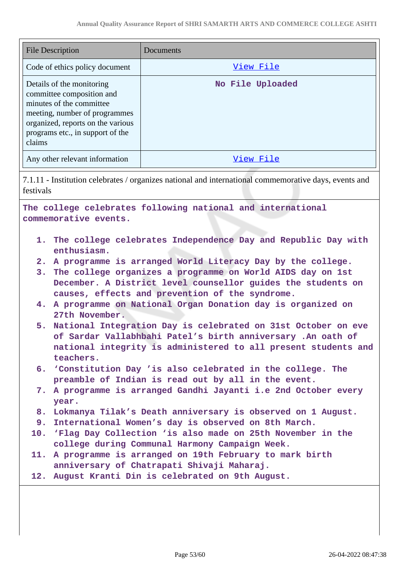| View File<br>Code of ethics policy document<br>Details of the monitoring<br>No File Uploaded<br>committee composition and<br>minutes of the committee<br>meeting, number of programmes<br>organized, reports on the various<br>programs etc., in support of the<br>claims<br>Any other relevant information<br>View File<br>festivals<br>The college celebrates following national and international<br>commemorative events.<br>1. The college celebrates Independence Day and Republic Day with<br>enthusiasm.<br>A programme is arranged World Literacy Day by the college.<br>2.<br>3. The college organizes a programme on World AIDS day on 1st<br>December. A District level counsellor guides the students on<br>causes, effects and prevention of the syndrome.<br>A programme on National Organ Donation day is organized on<br>4.<br>27th November.<br>National Integration Day is celebrated on 31st October on eve<br>5.<br>of Sardar Vallabhbahi Patel's birth anniversary .An oath of<br>national integrity is administered to all present students and<br>teachers.<br>6. 'Constitution Day 'is also celebrated in the college. The<br>preamble of Indian is read out by all in the event.<br>7. A programme is arranged Gandhi Jayanti i.e 2nd October every<br>year.<br>8. Lokmanya Tilak's Death anniversary is observed on 1 August.<br>9. International Women's day is observed on 8th March.<br>10. 'Flag Day Collection 'is also made on 25th November in the | <b>File Description</b>                                                                               | Documents |  |
|--------------------------------------------------------------------------------------------------------------------------------------------------------------------------------------------------------------------------------------------------------------------------------------------------------------------------------------------------------------------------------------------------------------------------------------------------------------------------------------------------------------------------------------------------------------------------------------------------------------------------------------------------------------------------------------------------------------------------------------------------------------------------------------------------------------------------------------------------------------------------------------------------------------------------------------------------------------------------------------------------------------------------------------------------------------------------------------------------------------------------------------------------------------------------------------------------------------------------------------------------------------------------------------------------------------------------------------------------------------------------------------------------------------------------------------------------------------------------------------|-------------------------------------------------------------------------------------------------------|-----------|--|
|                                                                                                                                                                                                                                                                                                                                                                                                                                                                                                                                                                                                                                                                                                                                                                                                                                                                                                                                                                                                                                                                                                                                                                                                                                                                                                                                                                                                                                                                                      |                                                                                                       |           |  |
|                                                                                                                                                                                                                                                                                                                                                                                                                                                                                                                                                                                                                                                                                                                                                                                                                                                                                                                                                                                                                                                                                                                                                                                                                                                                                                                                                                                                                                                                                      |                                                                                                       |           |  |
|                                                                                                                                                                                                                                                                                                                                                                                                                                                                                                                                                                                                                                                                                                                                                                                                                                                                                                                                                                                                                                                                                                                                                                                                                                                                                                                                                                                                                                                                                      |                                                                                                       |           |  |
|                                                                                                                                                                                                                                                                                                                                                                                                                                                                                                                                                                                                                                                                                                                                                                                                                                                                                                                                                                                                                                                                                                                                                                                                                                                                                                                                                                                                                                                                                      | 7.1.11 - Institution celebrates / organizes national and international commemorative days, events and |           |  |
|                                                                                                                                                                                                                                                                                                                                                                                                                                                                                                                                                                                                                                                                                                                                                                                                                                                                                                                                                                                                                                                                                                                                                                                                                                                                                                                                                                                                                                                                                      |                                                                                                       |           |  |
| college during Communal Harmony Campaign Week.<br>A programme is arranged on 19th February to mark birth<br>11.<br>anniversary of Chatrapati Shivaji Maharaj.                                                                                                                                                                                                                                                                                                                                                                                                                                                                                                                                                                                                                                                                                                                                                                                                                                                                                                                                                                                                                                                                                                                                                                                                                                                                                                                        |                                                                                                       |           |  |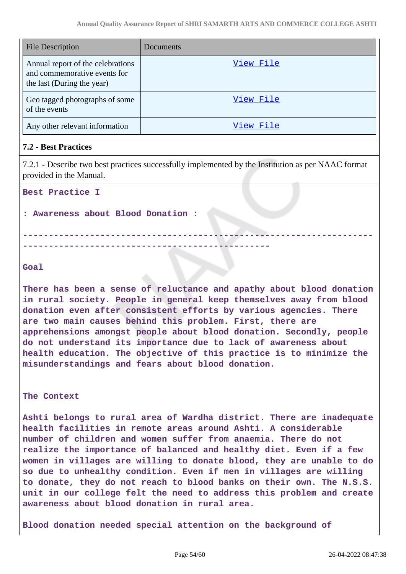| <b>File Description</b>                                                                         | Documents |
|-------------------------------------------------------------------------------------------------|-----------|
| Annual report of the celebrations<br>and commemorative events for<br>the last (During the year) | View File |
| Geo tagged photographs of some<br>of the events                                                 | View File |
| Any other relevant information                                                                  | View File |

#### **7.2 - Best Practices**

7.2.1 - Describe two best practices successfully implemented by the Institution as per NAAC format provided in the Manual.

**--------------------------------------------------------------------**

**Best Practice I**

**: Awareness about Blood Donation :**

**------------------------------------------------**

**Goal** 

**There has been a sense of reluctance and apathy about blood donation in rural society. People in general keep themselves away from blood donation even after consistent efforts by various agencies. There are two main causes behind this problem. First, there are apprehensions amongst people about blood donation. Secondly, people do not understand its importance due to lack of awareness about health education. The objective of this practice is to minimize the misunderstandings and fears about blood donation.**

**The Context**

**Ashti belongs to rural area of Wardha district. There are inadequate health facilities in remote areas around Ashti. A considerable number of children and women suffer from anaemia. There do not realize the importance of balanced and healthy diet. Even if a few women in villages are willing to donate blood, they are unable to do so due to unhealthy condition. Even if men in villages are willing to donate, they do not reach to blood banks on their own. The N.S.S. unit in our college felt the need to address this problem and create awareness about blood donation in rural area.**

**Blood donation needed special attention on the background of**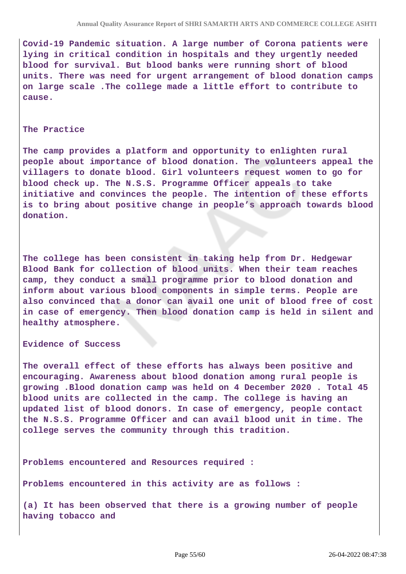**Covid-19 Pandemic situation. A large number of Corona patients were lying in critical condition in hospitals and they urgently needed blood for survival. But blood banks were running short of blood units. There was need for urgent arrangement of blood donation camps on large scale .The college made a little effort to contribute to cause.**

#### **The Practice**

**The camp provides a platform and opportunity to enlighten rural people about importance of blood donation. The volunteers appeal the villagers to donate blood. Girl volunteers request women to go for blood check up. The N.S.S. Programme Officer appeals to take initiative and convinces the people. The intention of these efforts is to bring about positive change in people's approach towards blood donation.**

**The college has been consistent in taking help from Dr. Hedgewar Blood Bank for collection of blood units. When their team reaches camp, they conduct a small programme prior to blood donation and inform about various blood components in simple terms. People are also convinced that a donor can avail one unit of blood free of cost in case of emergency. Then blood donation camp is held in silent and healthy atmosphere.**

**Evidence of Success**

**The overall effect of these efforts has always been positive and encouraging. Awareness about blood donation among rural people is growing .Blood donation camp was held on 4 December 2020 . Total 45 blood units are collected in the camp. The college is having an updated list of blood donors. In case of emergency, people contact the N.S.S. Programme Officer and can avail blood unit in time. The college serves the community through this tradition.** 

**Problems encountered and Resources required :** 

**Problems encountered in this activity are as follows :**

**(a) It has been observed that there is a growing number of people having tobacco and**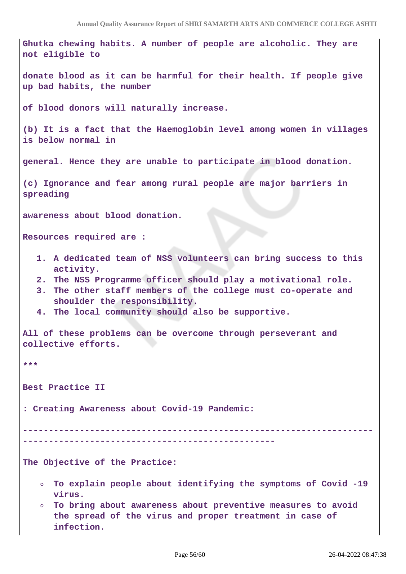```
Ghutka chewing habits. A number of people are alcoholic. They are
not eligible to
donate blood as it can be harmful for their health. If people give
up bad habits, the number
of blood donors will naturally increase.
(b) It is a fact that the Haemoglobin level among women in villages
is below normal in
general. Hence they are unable to participate in blood donation.
(c) Ignorance and fear among rural people are major barriers in
spreading
awareness about blood donation.
Resources required are :
  1. A dedicated team of NSS volunteers can bring success to this
      activity.
  2. The NSS Programme officer should play a motivational role.
  3. The other staff members of the college must co-operate and
      shoulder the responsibility.
  4. The local community should also be supportive.
All of these problems can be overcome through perseverant and
collective efforts.
***
Best Practice II
: Creating Awareness about Covid-19 Pandemic:
               --------------------------------------------------------------------
-------------------------------------------------
The Objective of the Practice: 
   To explain people about identifying the symptoms of Covid -19
      virus.
      To bring about awareness about preventive measures to avoid
   \circthe spread of the virus and proper treatment in case of
```
**infection.**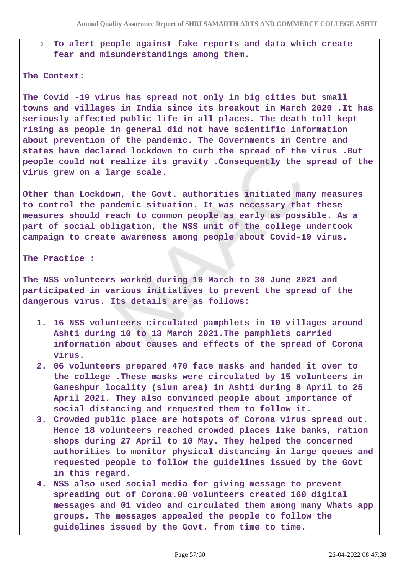**To alert people against fake reports and data which create**  $\circ$ **fear and misunderstandings among them.**

#### **The Context:**

**The Covid -19 virus has spread not only in big cities but small towns and villages in India since its breakout in March 2020 .It has seriously affected public life in all places. The death toll kept rising as people in general did not have scientific information about prevention of the pandemic. The Governments in Centre and states have declared lockdown to curb the spread of the virus .But people could not realize its gravity .Consequently the spread of the virus grew on a large scale.**

**Other than Lockdown, the Govt. authorities initiated many measures to control the pandemic situation. It was necessary that these measures should reach to common people as early as possible. As a part of social obligation, the NSS unit of the college undertook campaign to create awareness among people about Covid-19 virus.**

**The Practice :**

**The NSS volunteers worked during 10 March to 30 June 2021 and participated in various initiatives to prevent the spread of the dangerous virus. Its details are as follows:**

- **1. 16 NSS volunteers circulated pamphlets in 10 villages around Ashti during 10 to 13 March 2021.The pamphlets carried information about causes and effects of the spread of Corona virus.**
- **2. 06 volunteers prepared 470 face masks and handed it over to the college .These masks were circulated by 15 volunteers in Ganeshpur locality (slum area) in Ashti during 8 April to 25 April 2021. They also convinced people about importance of social distancing and requested them to follow it.**
- **3. Crowded public place are hotspots of Corona virus spread out. Hence 18 volunteers reached crowded places like banks, ration shops during 27 April to 10 May. They helped the concerned authorities to monitor physical distancing in large queues and requested people to follow the guidelines issued by the Govt in this regard.**
- **4. NSS also used social media for giving message to prevent spreading out of Corona.08 volunteers created 160 digital messages and 01 video and circulated them among many Whats app groups. The messages appealed the people to follow the guidelines issued by the Govt. from time to time.**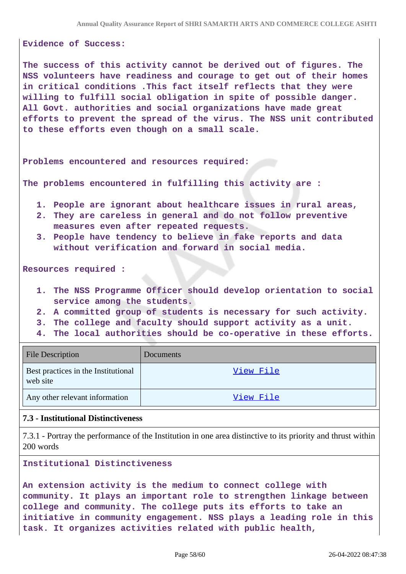#### **Evidence of Success:**

**The success of this activity cannot be derived out of figures. The NSS volunteers have readiness and courage to get out of their homes in critical conditions .This fact itself reflects that they were willing to fulfill social obligation in spite of possible danger. All Govt. authorities and social organizations have made great efforts to prevent the spread of the virus. The NSS unit contributed to these efforts even though on a small scale.**

**Problems encountered and resources required:**

**The problems encountered in fulfilling this activity are :**

- **1. People are ignorant about healthcare issues in rural areas,**
- **2. They are careless in general and do not follow preventive measures even after repeated requests.**
- **3. People have tendency to believe in fake reports and data without verification and forward in social media.**

**Resources required :**

- **1. The NSS Programme Officer should develop orientation to social service among the students.**
- **2. A committed group of students is necessary for such activity.**
- **3. The college and faculty should support activity as a unit.**
- **4. The local authorities should be co-operative in these efforts.**

| <b>File Description</b>                         | <b>Documents</b> |
|-------------------------------------------------|------------------|
| Best practices in the Institutional<br>web site | View File        |
| Any other relevant information                  | View File        |

#### **7.3 - Institutional Distinctiveness**

7.3.1 - Portray the performance of the Institution in one area distinctive to its priority and thrust within 200 words

**Institutional Distinctiveness**

**An extension activity is the medium to connect college with community. It plays an important role to strengthen linkage between college and community. The college puts its efforts to take an initiative in community engagement. NSS plays a leading role in this task. It organizes activities related with public health,**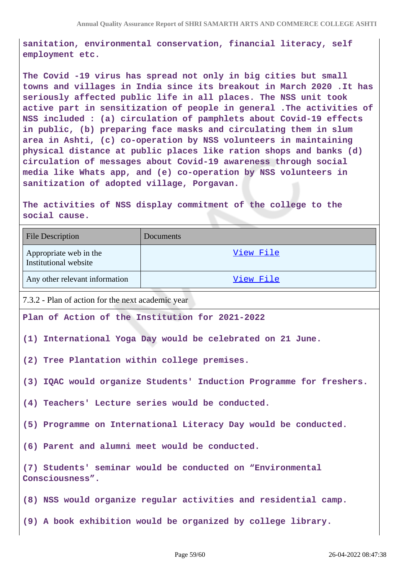**sanitation, environmental conservation, financial literacy, self employment etc.**

**The Covid -19 virus has spread not only in big cities but small towns and villages in India since its breakout in March 2020 .It has seriously affected public life in all places. The NSS unit took active part in sensitization of people in general .The activities of NSS included : (a) circulation of pamphlets about Covid-19 effects in public, (b) preparing face masks and circulating them in slum area in Ashti, (c) co-operation by NSS volunteers in maintaining physical distance at public places like ration shops and banks (d) circulation of messages about Covid-19 awareness through social media like Whats app, and (e) co-operation by NSS volunteers in sanitization of adopted village, Porgavan.**

**The activities of NSS display commitment of the college to the social cause.**

| <b>File Description</b>                                                       | Documents                                                       |  |
|-------------------------------------------------------------------------------|-----------------------------------------------------------------|--|
| Appropriate web in the<br>Institutional website                               | View File                                                       |  |
| Any other relevant information                                                | View File                                                       |  |
| 7.3.2 - Plan of action for the next academic year                             |                                                                 |  |
| Plan of Action of the Institution for 2021-2022                               |                                                                 |  |
| (1) International Yoga Day would be celebrated on 21 June.                    |                                                                 |  |
| (2) Tree Plantation within college premises.                                  |                                                                 |  |
| (3) IQAC would organize Students' Induction Programme for freshers.           |                                                                 |  |
| (4) Teachers' Lecture series would be conducted.                              |                                                                 |  |
| (5) Programme on International Literacy Day would be conducted.               |                                                                 |  |
| (6) Parent and alumni meet would be conducted.                                |                                                                 |  |
| (7) Students' seminar would be conducted on "Environmental<br>Consciousness". |                                                                 |  |
|                                                                               | (8) NSS would organize regular activities and residential camp. |  |
|                                                                               | (9) A book exhibition would be organized by college library.    |  |